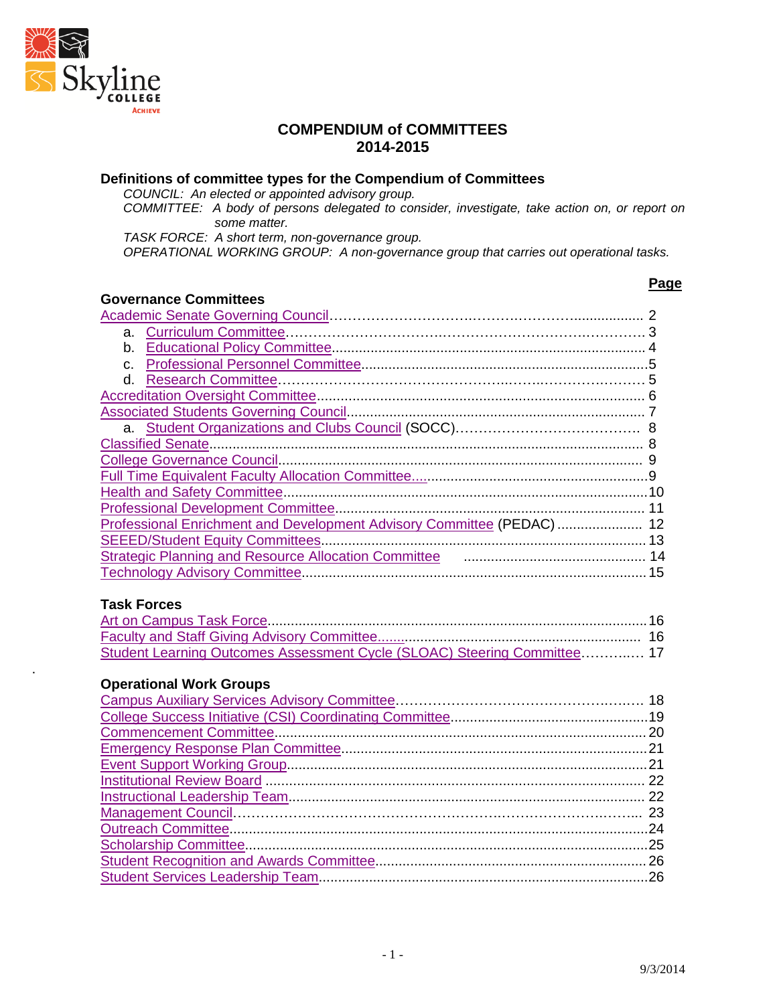

.

#### **COMPENDIUM of COMMITTEES 2014-2015**

#### **Definitions of committee types for the Compendium of Committees**

*COUNCIL: An elected or appointed advisory group.*

*COMMITTEE: A body of persons delegated to consider, investigate, take action on, or report on some matter.*

*TASK FORCE: A short term, non-governance group.*

*OPERATIONAL WORKING GROUP: A non-governance group that carries out operational tasks.*

# **Governance Committees**

#### **Page**

| Professional Enrichment and Development Advisory Committee (PEDAC)  12     |  |
|----------------------------------------------------------------------------|--|
|                                                                            |  |
| Strategic Planning and Resource Allocation Committee <b>Committee</b> 2014 |  |
|                                                                            |  |
|                                                                            |  |
| <b>Task Forces</b>                                                         |  |
|                                                                            |  |
|                                                                            |  |
| Student Learning Outcomes Assessment Cycle (SLOAC) Steering Committee 17   |  |
|                                                                            |  |
| <b>Operational Work Groups</b>                                             |  |
|                                                                            |  |
|                                                                            |  |
|                                                                            |  |
|                                                                            |  |
|                                                                            |  |
|                                                                            |  |
|                                                                            |  |
|                                                                            |  |
|                                                                            |  |
|                                                                            |  |
|                                                                            |  |
|                                                                            |  |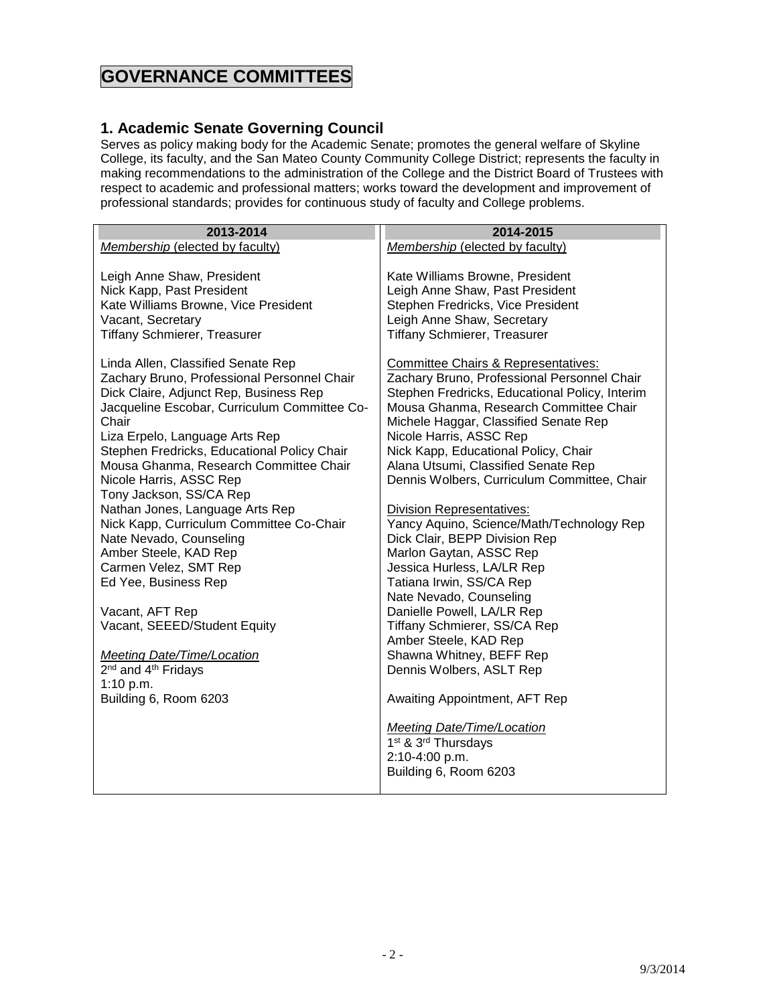# **GOVERNANCE COMMITTEES**

#### <span id="page-1-0"></span>**1. Academic Senate Governing Council**

Serves as policy making body for the Academic Senate; promotes the general welfare of Skyline College, its faculty, and the San Mateo County Community College District; represents the faculty in making recommendations to the administration of the College and the District Board of Trustees with respect to academic and professional matters; works toward the development and improvement of professional standards; provides for continuous study of faculty and College problems.

| 2013-2014                                                                                                                                                                                                                                                                                                                                                                                                                                                                                                                                                                                                                                                                                                                                | 2014-2015                                                                                                                                                                                                                                                                                                                                                                                                                                                                                                                                                                                                                                                                                                                                                                                                                                   |
|------------------------------------------------------------------------------------------------------------------------------------------------------------------------------------------------------------------------------------------------------------------------------------------------------------------------------------------------------------------------------------------------------------------------------------------------------------------------------------------------------------------------------------------------------------------------------------------------------------------------------------------------------------------------------------------------------------------------------------------|---------------------------------------------------------------------------------------------------------------------------------------------------------------------------------------------------------------------------------------------------------------------------------------------------------------------------------------------------------------------------------------------------------------------------------------------------------------------------------------------------------------------------------------------------------------------------------------------------------------------------------------------------------------------------------------------------------------------------------------------------------------------------------------------------------------------------------------------|
| Membership (elected by faculty)                                                                                                                                                                                                                                                                                                                                                                                                                                                                                                                                                                                                                                                                                                          | Membership (elected by faculty)                                                                                                                                                                                                                                                                                                                                                                                                                                                                                                                                                                                                                                                                                                                                                                                                             |
| Leigh Anne Shaw, President<br>Nick Kapp, Past President<br>Kate Williams Browne, Vice President<br>Vacant, Secretary<br><b>Tiffany Schmierer, Treasurer</b>                                                                                                                                                                                                                                                                                                                                                                                                                                                                                                                                                                              | Kate Williams Browne, President<br>Leigh Anne Shaw, Past President<br>Stephen Fredricks, Vice President<br>Leigh Anne Shaw, Secretary<br><b>Tiffany Schmierer, Treasurer</b>                                                                                                                                                                                                                                                                                                                                                                                                                                                                                                                                                                                                                                                                |
| Linda Allen, Classified Senate Rep<br>Zachary Bruno, Professional Personnel Chair<br>Dick Claire, Adjunct Rep, Business Rep<br>Jacqueline Escobar, Curriculum Committee Co-<br>Chair<br>Liza Erpelo, Language Arts Rep<br>Stephen Fredricks, Educational Policy Chair<br>Mousa Ghanma, Research Committee Chair<br>Nicole Harris, ASSC Rep<br>Tony Jackson, SS/CA Rep<br>Nathan Jones, Language Arts Rep<br>Nick Kapp, Curriculum Committee Co-Chair<br>Nate Nevado, Counseling<br>Amber Steele, KAD Rep<br>Carmen Velez, SMT Rep<br>Ed Yee, Business Rep<br>Vacant, AFT Rep<br>Vacant, SEEED/Student Equity<br><b>Meeting Date/Time/Location</b><br>2 <sup>nd</sup> and 4 <sup>th</sup> Fridays<br>1:10 $p.m.$<br>Building 6, Room 6203 | <b>Committee Chairs &amp; Representatives:</b><br>Zachary Bruno, Professional Personnel Chair<br>Stephen Fredricks, Educational Policy, Interim<br>Mousa Ghanma, Research Committee Chair<br>Michele Haggar, Classified Senate Rep<br>Nicole Harris, ASSC Rep<br>Nick Kapp, Educational Policy, Chair<br>Alana Utsumi, Classified Senate Rep<br>Dennis Wolbers, Curriculum Committee, Chair<br><b>Division Representatives:</b><br>Yancy Aquino, Science/Math/Technology Rep<br>Dick Clair, BEPP Division Rep<br>Marlon Gaytan, ASSC Rep<br>Jessica Hurless, LA/LR Rep<br>Tatiana Irwin, SS/CA Rep<br>Nate Nevado, Counseling<br>Danielle Powell, LA/LR Rep<br>Tiffany Schmierer, SS/CA Rep<br>Amber Steele, KAD Rep<br>Shawna Whitney, BEFF Rep<br>Dennis Wolbers, ASLT Rep<br>Awaiting Appointment, AFT Rep<br>Meeting Date/Time/Location |
|                                                                                                                                                                                                                                                                                                                                                                                                                                                                                                                                                                                                                                                                                                                                          | 1 <sup>st</sup> & 3 <sup>rd</sup> Thursdays<br>2:10-4:00 p.m.<br>Building 6, Room 6203                                                                                                                                                                                                                                                                                                                                                                                                                                                                                                                                                                                                                                                                                                                                                      |
|                                                                                                                                                                                                                                                                                                                                                                                                                                                                                                                                                                                                                                                                                                                                          |                                                                                                                                                                                                                                                                                                                                                                                                                                                                                                                                                                                                                                                                                                                                                                                                                                             |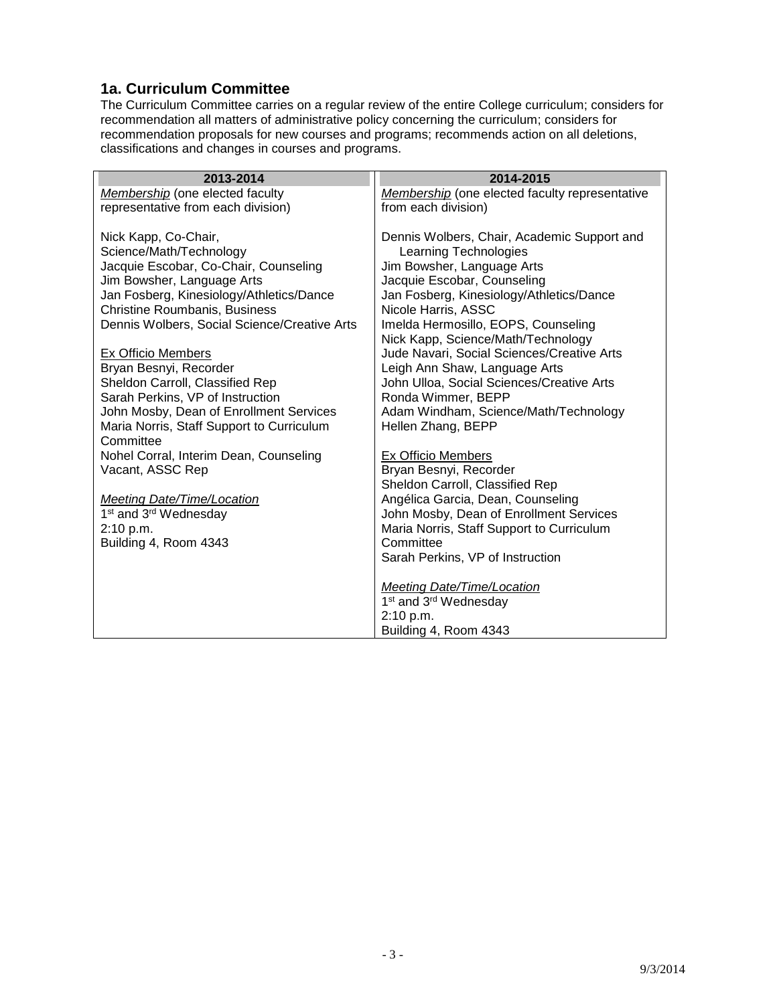#### <span id="page-2-0"></span>**1a. Curriculum Committee**

The Curriculum Committee carries on a regular review of the entire College curriculum; considers for recommendation all matters of administrative policy concerning the curriculum; considers for recommendation proposals for new courses and programs; recommends action on all deletions, classifications and changes in courses and programs.

| 2013-2014                                                                                | 2014-2015                                                                                          |
|------------------------------------------------------------------------------------------|----------------------------------------------------------------------------------------------------|
| Membership (one elected faculty                                                          | Membership (one elected faculty representative                                                     |
| representative from each division)                                                       | from each division)                                                                                |
| Nick Kapp, Co-Chair,<br>Science/Math/Technology<br>Jacquie Escobar, Co-Chair, Counseling | Dennis Wolbers, Chair, Academic Support and<br>Learning Technologies<br>Jim Bowsher, Language Arts |
| Jim Bowsher, Language Arts                                                               | Jacquie Escobar, Counseling                                                                        |
| Jan Fosberg, Kinesiology/Athletics/Dance                                                 | Jan Fosberg, Kinesiology/Athletics/Dance                                                           |
| <b>Christine Roumbanis, Business</b>                                                     | Nicole Harris, ASSC                                                                                |
| Dennis Wolbers, Social Science/Creative Arts                                             | Imelda Hermosillo, EOPS, Counseling<br>Nick Kapp, Science/Math/Technology                          |
| <b>Ex Officio Members</b>                                                                | Jude Navari, Social Sciences/Creative Arts                                                         |
| Bryan Besnyi, Recorder                                                                   | Leigh Ann Shaw, Language Arts                                                                      |
| Sheldon Carroll, Classified Rep                                                          | John Ulloa, Social Sciences/Creative Arts                                                          |
| Sarah Perkins, VP of Instruction                                                         | Ronda Wimmer, BEPP                                                                                 |
| John Mosby, Dean of Enrollment Services                                                  | Adam Windham, Science/Math/Technology                                                              |
| Maria Norris, Staff Support to Curriculum<br>Committee                                   | Hellen Zhang, BEPP                                                                                 |
| Nohel Corral, Interim Dean, Counseling                                                   | <b>Ex Officio Members</b>                                                                          |
| Vacant, ASSC Rep                                                                         | Bryan Besnyi, Recorder                                                                             |
|                                                                                          | Sheldon Carroll, Classified Rep                                                                    |
| <b>Meeting Date/Time/Location</b><br>1 <sup>st</sup> and 3 <sup>rd</sup> Wednesday       | Angélica Garcia, Dean, Counseling<br>John Mosby, Dean of Enrollment Services                       |
| 2:10 p.m.                                                                                | Maria Norris, Staff Support to Curriculum                                                          |
| Building 4, Room 4343                                                                    | Committee                                                                                          |
|                                                                                          | Sarah Perkins, VP of Instruction                                                                   |
|                                                                                          |                                                                                                    |
|                                                                                          | <b>Meeting Date/Time/Location</b>                                                                  |
|                                                                                          | 1 <sup>st</sup> and 3 <sup>rd</sup> Wednesday                                                      |
|                                                                                          | 2:10 p.m.                                                                                          |
|                                                                                          | Building 4, Room 4343                                                                              |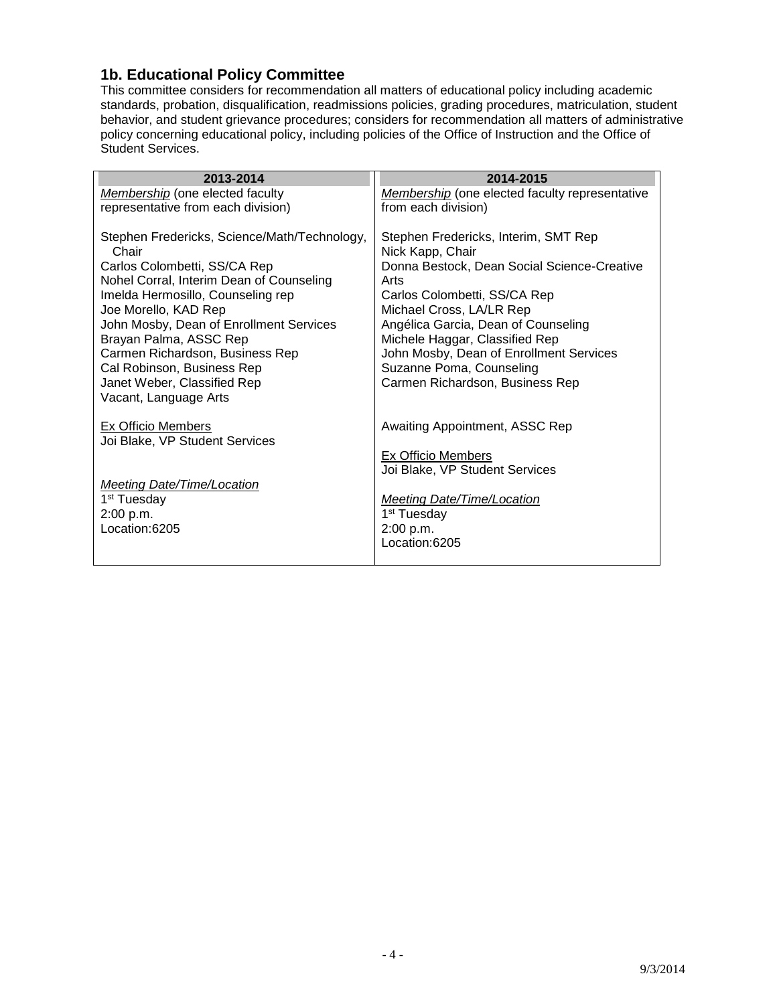#### <span id="page-3-0"></span>**1b. Educational Policy Committee**

This committee considers for recommendation all matters of educational policy including academic standards, probation, disqualification, readmissions policies, grading procedures, matriculation, student behavior, and student grievance procedures; considers for recommendation all matters of administrative policy concerning educational policy, including policies of the Office of Instruction and the Office of Student Services.

| 2013-2014                                                                                                                                                              | 2014-2015                                                                                                       |
|------------------------------------------------------------------------------------------------------------------------------------------------------------------------|-----------------------------------------------------------------------------------------------------------------|
| Membership (one elected faculty                                                                                                                                        | Membership (one elected faculty representative                                                                  |
| representative from each division)                                                                                                                                     | from each division)                                                                                             |
| Stephen Fredericks, Science/Math/Technology,<br>Chair<br>Carlos Colombetti, SS/CA Rep<br>Nohel Corral, Interim Dean of Counseling<br>Imelda Hermosillo, Counseling rep | Stephen Fredericks, Interim, SMT Rep<br>Nick Kapp, Chair<br>Donna Bestock, Dean Social Science-Creative<br>Arts |
| Joe Morello, KAD Rep                                                                                                                                                   | Carlos Colombetti, SS/CA Rep<br>Michael Cross, LA/LR Rep                                                        |
| John Mosby, Dean of Enrollment Services<br>Brayan Palma, ASSC Rep                                                                                                      | Angélica Garcia, Dean of Counseling<br>Michele Haggar, Classified Rep                                           |
| Carmen Richardson, Business Rep                                                                                                                                        | John Mosby, Dean of Enrollment Services                                                                         |
| Cal Robinson, Business Rep<br>Janet Weber, Classified Rep<br>Vacant, Language Arts                                                                                     | Suzanne Poma, Counseling<br>Carmen Richardson, Business Rep                                                     |
| Ex Officio Members<br>Joi Blake, VP Student Services                                                                                                                   | Awaiting Appointment, ASSC Rep                                                                                  |
|                                                                                                                                                                        | <b>Ex Officio Members</b>                                                                                       |
|                                                                                                                                                                        | Joi Blake, VP Student Services                                                                                  |
| <b>Meeting Date/Time/Location</b>                                                                                                                                      |                                                                                                                 |
| 1 <sup>st</sup> Tuesday                                                                                                                                                | Meeting Date/Time/Location                                                                                      |
| 2:00 p.m.<br>Location:6205                                                                                                                                             | 1 <sup>st</sup> Tuesday<br>2:00 p.m.                                                                            |
|                                                                                                                                                                        | Location:6205                                                                                                   |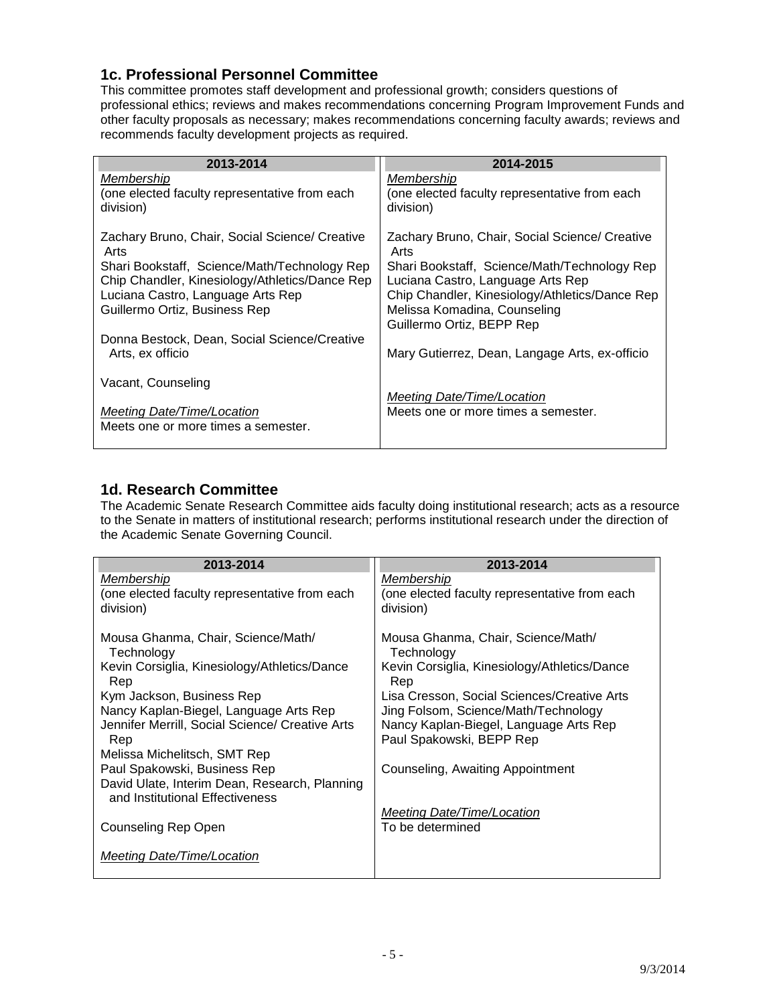#### <span id="page-4-0"></span>**1c. Professional Personnel Committee**

This committee promotes staff development and professional growth; considers questions of professional ethics; reviews and makes recommendations concerning Program Improvement Funds and other faculty proposals as necessary; makes recommendations concerning faculty awards; reviews and recommends faculty development projects as required.

| 2013-2014                                                        | 2014-2015                                      |
|------------------------------------------------------------------|------------------------------------------------|
| Membership                                                       | Membership                                     |
| (one elected faculty representative from each                    | (one elected faculty representative from each  |
| division)                                                        | division)                                      |
| Zachary Bruno, Chair, Social Science/ Creative                   | Zachary Bruno, Chair, Social Science/ Creative |
| Arts                                                             | Arts                                           |
| Shari Bookstaff, Science/Math/Technology Rep                     | Shari Bookstaff, Science/Math/Technology Rep   |
| Chip Chandler, Kinesiology/Athletics/Dance Rep                   | Luciana Castro, Language Arts Rep              |
| Luciana Castro, Language Arts Rep                                | Chip Chandler, Kinesiology/Athletics/Dance Rep |
| Guillermo Ortiz, Business Rep                                    | Melissa Komadina, Counseling                   |
|                                                                  | Guillermo Ortiz, BEPP Rep                      |
| Donna Bestock, Dean, Social Science/Creative<br>Arts, ex officio | Mary Gutierrez, Dean, Langage Arts, ex-officio |
| Vacant, Counseling                                               |                                                |
| <b>Meeting Date/Time/Location</b>                                | <b>Meeting Date/Time/Location</b>              |
| Meets one or more times a semester.                              | Meets one or more times a semester.            |

#### <span id="page-4-1"></span>**1d. Research Committee**

The Academic Senate Research Committee aids faculty doing institutional research; acts as a resource to the Senate in matters of institutional research; performs institutional research under the direction of the Academic Senate Governing Council.

| 2013-2014                                              | 2013-2014                                                          |
|--------------------------------------------------------|--------------------------------------------------------------------|
| Membership                                             | Membership                                                         |
| (one elected faculty representative from each          | (one elected faculty representative from each                      |
| division)                                              | division)                                                          |
| Mousa Ghanma, Chair, Science/Math/                     | Mousa Ghanma, Chair, Science/Math/                                 |
| Technology                                             | Technology                                                         |
| Kevin Corsiglia, Kinesiology/Athletics/Dance<br>Rep    | Kevin Corsiglia, Kinesiology/Athletics/Dance<br>Rep                |
| Kym Jackson, Business Rep                              | Lisa Cresson, Social Sciences/Creative Arts                        |
| Nancy Kaplan-Biegel, Language Arts Rep                 | Jing Folsom, Science/Math/Technology                               |
| Jennifer Merrill, Social Science/ Creative Arts<br>Rep | Nancy Kaplan-Biegel, Language Arts Rep<br>Paul Spakowski, BEPP Rep |
| Melissa Michelitsch, SMT Rep                           |                                                                    |
| Paul Spakowski, Business Rep                           | Counseling, Awaiting Appointment                                   |
| David Ulate, Interim Dean, Research, Planning          |                                                                    |
| and Institutional Effectiveness                        |                                                                    |
|                                                        | Meeting Date/Time/Location                                         |
| Counseling Rep Open                                    | To be determined                                                   |
| Meeting Date/Time/Location                             |                                                                    |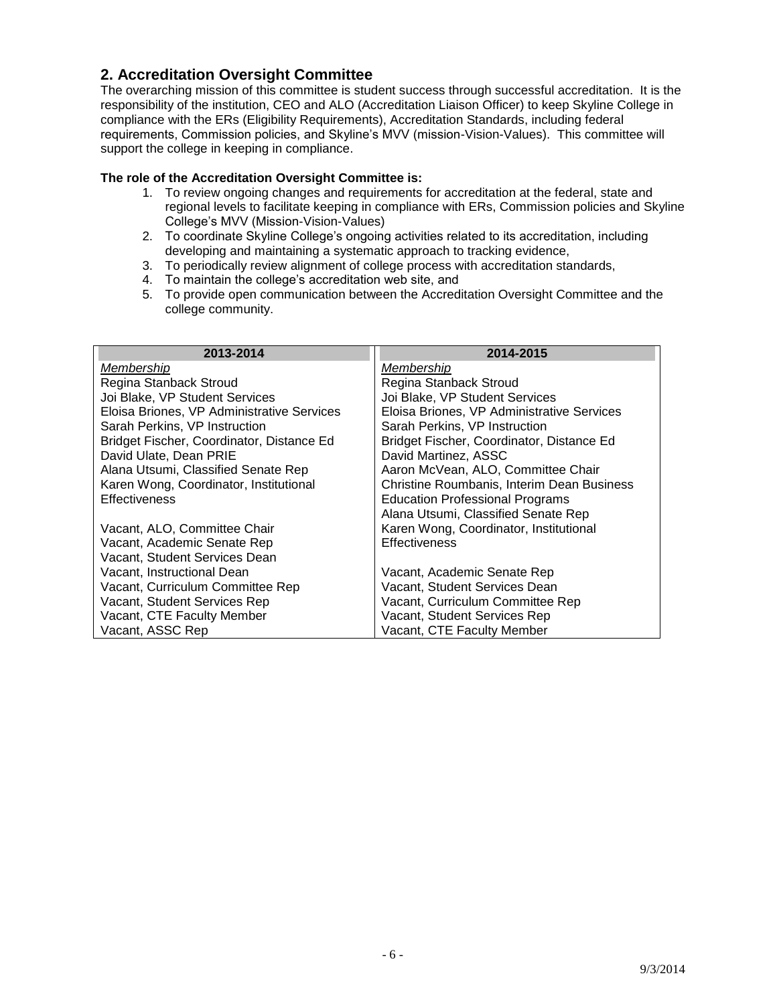#### <span id="page-5-0"></span>**2. Accreditation Oversight Committee**

The overarching mission of this committee is student success through successful accreditation. It is the responsibility of the institution, CEO and ALO (Accreditation Liaison Officer) to keep Skyline College in compliance with the ERs (Eligibility Requirements), Accreditation Standards, including federal requirements, Commission policies, and Skyline's MVV (mission-Vision-Values). This committee will support the college in keeping in compliance.

#### **The role of the Accreditation Oversight Committee is:**

- 1. To review ongoing changes and requirements for accreditation at the federal, state and regional levels to facilitate keeping in compliance with ERs, Commission policies and Skyline College's MVV (Mission-Vision-Values)
- 2. To coordinate Skyline College's ongoing activities related to its accreditation, including developing and maintaining a systematic approach to tracking evidence,
- 3. To periodically review alignment of college process with accreditation standards,
- 4. To maintain the college's accreditation web site, and
- 5. To provide open communication between the Accreditation Oversight Committee and the college community.

| 2013-2014                                  | 2014-2015                                  |
|--------------------------------------------|--------------------------------------------|
| Membership                                 | Membership                                 |
| Regina Stanback Stroud                     | Regina Stanback Stroud                     |
| Joi Blake, VP Student Services             | Joi Blake, VP Student Services             |
| Eloisa Briones, VP Administrative Services | Eloisa Briones, VP Administrative Services |
| Sarah Perkins, VP Instruction              | Sarah Perkins, VP Instruction              |
| Bridget Fischer, Coordinator, Distance Ed  | Bridget Fischer, Coordinator, Distance Ed  |
| David Ulate, Dean PRIE                     | David Martinez, ASSC                       |
| Alana Utsumi, Classified Senate Rep        | Aaron McVean, ALO, Committee Chair         |
| Karen Wong, Coordinator, Institutional     | Christine Roumbanis, Interim Dean Business |
| <b>Effectiveness</b>                       | <b>Education Professional Programs</b>     |
|                                            | Alana Utsumi, Classified Senate Rep        |
| Vacant, ALO, Committee Chair               | Karen Wong, Coordinator, Institutional     |
| Vacant, Academic Senate Rep                | <b>Effectiveness</b>                       |
| Vacant, Student Services Dean              |                                            |
| Vacant, Instructional Dean                 | Vacant, Academic Senate Rep                |
| Vacant, Curriculum Committee Rep           | Vacant, Student Services Dean              |
| Vacant, Student Services Rep               | Vacant, Curriculum Committee Rep           |
| Vacant, CTE Faculty Member                 | Vacant, Student Services Rep               |
| Vacant, ASSC Rep                           | Vacant, CTE Faculty Member                 |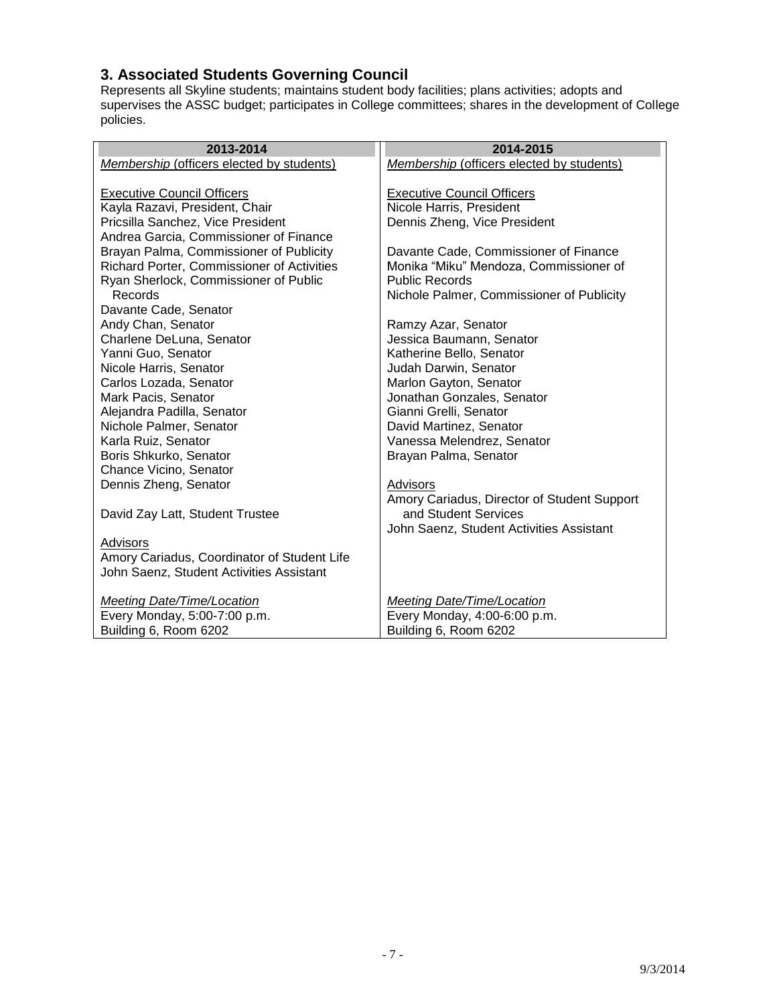### <span id="page-6-0"></span>**3. Associated Students Governing Council**

Represents all Skyline students; maintains student body facilities; plans activities; adopts and supervises the ASSC budget; participates in College committees; shares in the development of College policies.

| 2013-2014                                        | 2014-2015                                        |
|--------------------------------------------------|--------------------------------------------------|
| <b>Membership (officers elected by students)</b> | <b>Membership (officers elected by students)</b> |
|                                                  |                                                  |
| <b>Executive Council Officers</b>                | <b>Executive Council Officers</b>                |
| Kayla Razavi, President, Chair                   | Nicole Harris, President                         |
| Pricsilla Sanchez, Vice President                | Dennis Zheng, Vice President                     |
| Andrea Garcia, Commissioner of Finance           |                                                  |
| Brayan Palma, Commissioner of Publicity          | Davante Cade, Commissioner of Finance            |
| Richard Porter, Commissioner of Activities       | Monika "Miku" Mendoza, Commissioner of           |
| Ryan Sherlock, Commissioner of Public            | <b>Public Records</b>                            |
| Records                                          | Nichole Palmer, Commissioner of Publicity        |
| Davante Cade, Senator                            |                                                  |
| Andy Chan, Senator                               | Ramzy Azar, Senator                              |
| Charlene DeLuna, Senator                         | Jessica Baumann, Senator                         |
| Yanni Guo, Senator                               | Katherine Bello, Senator                         |
| Nicole Harris, Senator                           | Judah Darwin, Senator                            |
| Carlos Lozada, Senator                           | Marlon Gayton, Senator                           |
| Mark Pacis, Senator                              | Jonathan Gonzales, Senator                       |
| Alejandra Padilla, Senator                       | Gianni Grelli, Senator                           |
| Nichole Palmer, Senator                          | David Martinez, Senator                          |
| Karla Ruiz, Senator                              | Vanessa Melendrez, Senator                       |
| Boris Shkurko, Senator                           | Brayan Palma, Senator                            |
| Chance Vicino, Senator                           |                                                  |
| Dennis Zheng, Senator                            | Advisors                                         |
|                                                  | Amory Cariadus, Director of Student Support      |
| David Zay Latt, Student Trustee                  | and Student Services                             |
|                                                  | John Saenz, Student Activities Assistant         |
| Advisors                                         |                                                  |
| Amory Cariadus, Coordinator of Student Life      |                                                  |
| John Saenz, Student Activities Assistant         |                                                  |
|                                                  |                                                  |
| <b>Meeting Date/Time/Location</b>                | <b>Meeting Date/Time/Location</b>                |
| Every Monday, 5:00-7:00 p.m.                     | Every Monday, 4:00-6:00 p.m.                     |
| Building 6, Room 6202                            | Building 6, Room 6202                            |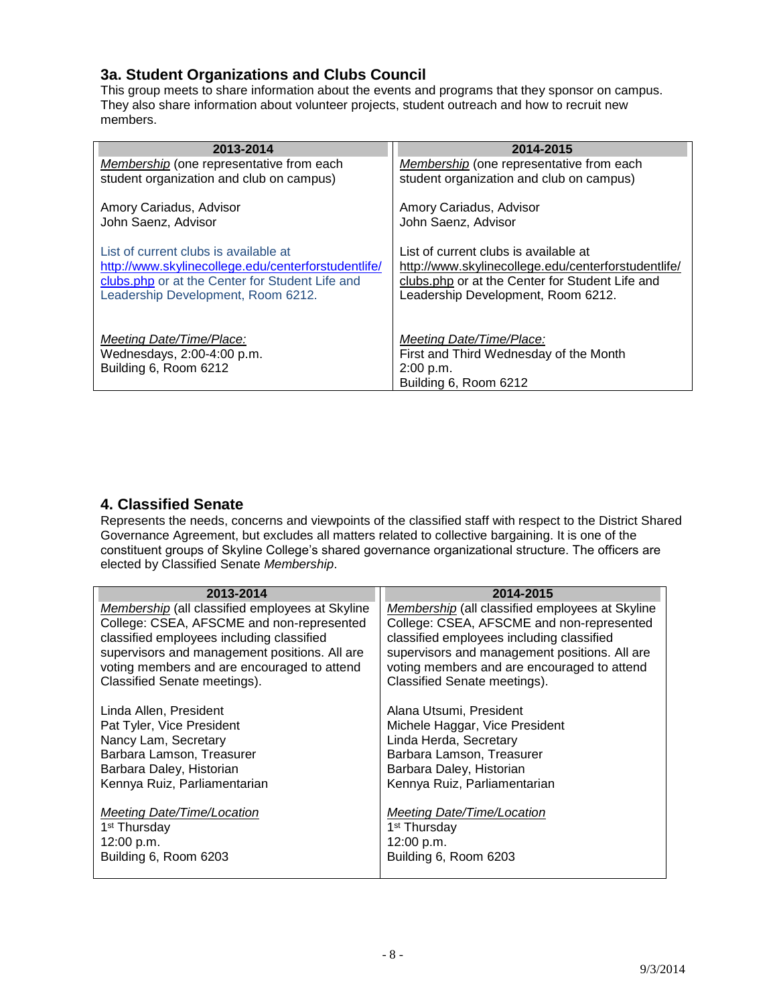### <span id="page-7-0"></span>**3a. Student Organizations and Clubs Council**

This group meets to share information about the events and programs that they sponsor on campus. They also share information about volunteer projects, student outreach and how to recruit new members.

| 2013-2014                                           | 2014-2015                                           |
|-----------------------------------------------------|-----------------------------------------------------|
| Membership (one representative from each            | Membership (one representative from each            |
| student organization and club on campus)            | student organization and club on campus)            |
| Amory Cariadus, Advisor                             | Amory Cariadus, Advisor                             |
| John Saenz, Advisor                                 | John Saenz, Advisor                                 |
| List of current clubs is available at               | List of current clubs is available at               |
| http://www.skylinecollege.edu/centerforstudentlife/ | http://www.skylinecollege.edu/centerforstudentlife/ |
| clubs.php or at the Center for Student Life and     | clubs.php or at the Center for Student Life and     |
| Leadership Development, Room 6212.                  | Leadership Development, Room 6212.                  |
| Meeting Date/Time/Place:                            | Meeting Date/Time/Place:                            |
| Wednesdays, 2:00-4:00 p.m.                          | First and Third Wednesday of the Month              |
| Building 6, Room 6212                               | 2:00 p.m.                                           |
|                                                     | Building 6, Room 6212                               |

#### <span id="page-7-1"></span>**4. Classified Senate**

Represents the needs, concerns and viewpoints of the classified staff with respect to the District Shared Governance Agreement, but excludes all matters related to collective bargaining. It is one of the constituent groups of Skyline College's shared governance organizational structure. The officers are elected by Classified Senate *Membership*.

| 2013-2014                                                                                    | 2014-2015                                                                                    |
|----------------------------------------------------------------------------------------------|----------------------------------------------------------------------------------------------|
| Membership (all classified employees at Skyline<br>College: CSEA, AFSCME and non-represented | Membership (all classified employees at Skyline<br>College: CSEA, AFSCME and non-represented |
| classified employees including classified                                                    | classified employees including classified                                                    |
| supervisors and management positions. All are                                                | supervisors and management positions. All are                                                |
| voting members and are encouraged to attend                                                  | voting members and are encouraged to attend                                                  |
| Classified Senate meetings).                                                                 | Classified Senate meetings).                                                                 |
| Linda Allen, President                                                                       | Alana Utsumi, President                                                                      |
| Pat Tyler, Vice President                                                                    | Michele Haggar, Vice President                                                               |
| Nancy Lam, Secretary                                                                         | Linda Herda, Secretary                                                                       |
| Barbara Lamson, Treasurer                                                                    | Barbara Lamson, Treasurer                                                                    |
| Barbara Daley, Historian                                                                     | Barbara Daley, Historian                                                                     |
| Kennya Ruiz, Parliamentarian                                                                 | Kennya Ruiz, Parliamentarian                                                                 |
|                                                                                              |                                                                                              |
| Meeting Date/Time/Location                                                                   | Meeting Date/Time/Location<br>1 <sup>st</sup> Thursday                                       |
| 1 <sup>st</sup> Thursday<br>12:00 p.m.                                                       | 12:00 p.m.                                                                                   |
| Building 6, Room 6203                                                                        | Building 6, Room 6203                                                                        |
|                                                                                              |                                                                                              |

- 8 -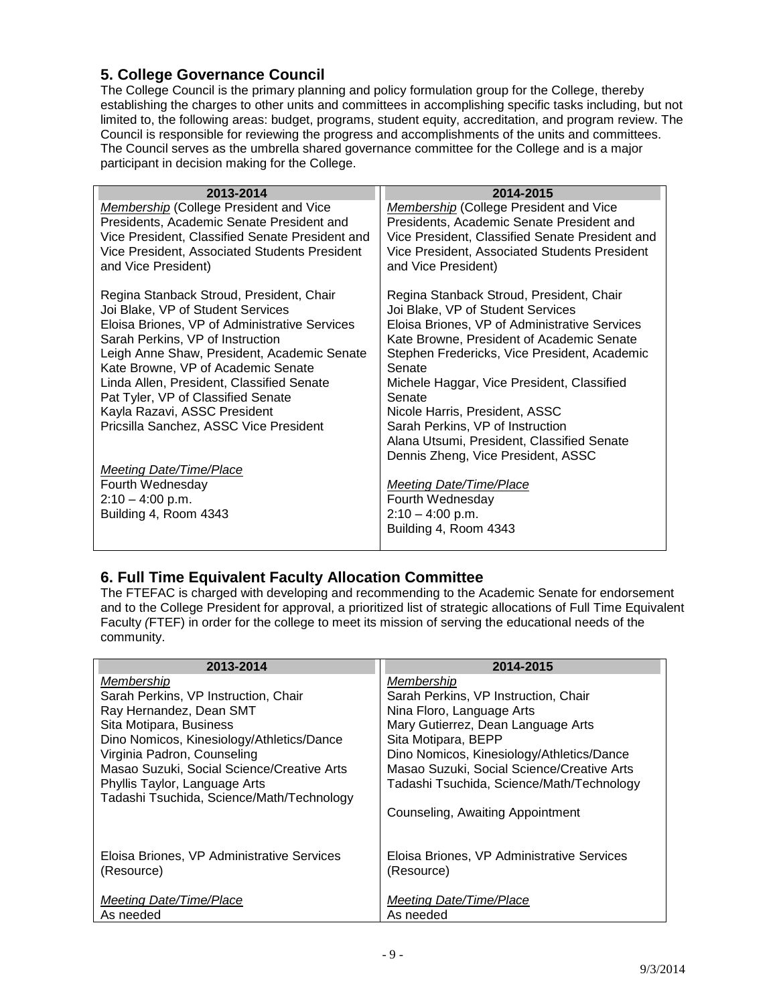# <span id="page-8-0"></span>**5. College Governance Council**

The College Council is the primary planning and policy formulation group for the College, thereby establishing the charges to other units and committees in accomplishing specific tasks including, but not limited to, the following areas: budget, programs, student equity, accreditation, and program review. The Council is responsible for reviewing the progress and accomplishments of the units and committees. The Council serves as the umbrella shared governance committee for the College and is a major participant in decision making for the College.

| 2013-2014                                       | 2014-2015                                       |
|-------------------------------------------------|-------------------------------------------------|
| <b>Membership (College President and Vice</b>   | <b>Membership (College President and Vice</b>   |
| Presidents, Academic Senate President and       | Presidents, Academic Senate President and       |
| Vice President, Classified Senate President and | Vice President, Classified Senate President and |
| Vice President, Associated Students President   | Vice President, Associated Students President   |
| and Vice President)                             | and Vice President)                             |
| Regina Stanback Stroud, President, Chair        | Regina Stanback Stroud, President, Chair        |
| Joi Blake, VP of Student Services               | Joi Blake, VP of Student Services               |
| Eloisa Briones, VP of Administrative Services   | Eloisa Briones, VP of Administrative Services   |
| Sarah Perkins, VP of Instruction                | Kate Browne, President of Academic Senate       |
| Leigh Anne Shaw, President, Academic Senate     | Stephen Fredericks, Vice President, Academic    |
| Kate Browne, VP of Academic Senate              | Senate                                          |
| Linda Allen, President, Classified Senate       | Michele Haggar, Vice President, Classified      |
| Pat Tyler, VP of Classified Senate              | Senate                                          |
| Kayla Razavi, ASSC President                    | Nicole Harris, President, ASSC                  |
| Pricsilla Sanchez, ASSC Vice President          | Sarah Perkins, VP of Instruction                |
|                                                 | Alana Utsumi, President, Classified Senate      |
|                                                 | Dennis Zheng, Vice President, ASSC              |
| <b>Meeting Date/Time/Place</b>                  |                                                 |
| Fourth Wednesday                                | <b>Meeting Date/Time/Place</b>                  |
| $2:10 - 4:00$ p.m.                              | Fourth Wednesday                                |
| Building 4, Room 4343                           | $2:10 - 4:00$ p.m.                              |
|                                                 | Building 4, Room 4343                           |
|                                                 |                                                 |

#### <span id="page-8-1"></span>**6. Full Time Equivalent Faculty Allocation Committee**

The FTEFAC is charged with developing and recommending to the Academic Senate for endorsement and to the College President for approval, a prioritized list of strategic allocations of Full Time Equivalent Faculty *(*FTEF) in order for the college to meet its mission of serving the educational needs of the community.

| 2013-2014                                  | 2014-2015                                  |
|--------------------------------------------|--------------------------------------------|
| Membership                                 | Membership                                 |
| Sarah Perkins, VP Instruction, Chair       | Sarah Perkins, VP Instruction, Chair       |
| Ray Hernandez, Dean SMT                    | Nina Floro, Language Arts                  |
| Sita Motipara, Business                    | Mary Gutierrez, Dean Language Arts         |
| Dino Nomicos, Kinesiology/Athletics/Dance  | Sita Motipara, BEPP                        |
| Virginia Padron, Counseling                | Dino Nomicos, Kinesiology/Athletics/Dance  |
| Masao Suzuki, Social Science/Creative Arts | Masao Suzuki, Social Science/Creative Arts |
| Phyllis Taylor, Language Arts              | Tadashi Tsuchida, Science/Math/Technology  |
| Tadashi Tsuchida, Science/Math/Technology  |                                            |
|                                            | Counseling, Awaiting Appointment           |
|                                            |                                            |
| Eloisa Briones, VP Administrative Services | Eloisa Briones, VP Administrative Services |
| (Resource)                                 | (Resource)                                 |
|                                            |                                            |
| Meeting Date/Time/Place                    | Meeting Date/Time/Place                    |
| As needed                                  | As needed                                  |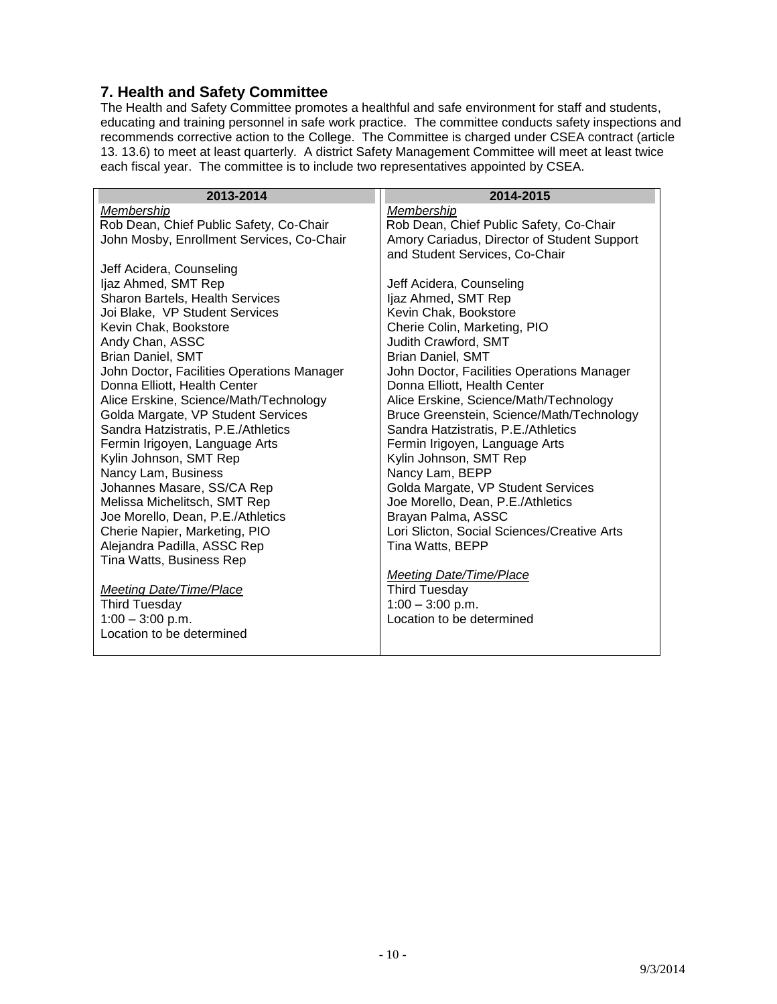#### <span id="page-9-0"></span>**7. Health and Safety Committee**

The Health and Safety Committee promotes a healthful and safe environment for staff and students, educating and training personnel in safe work practice. The committee conducts safety inspections and recommends corrective action to the College. The Committee is charged under CSEA contract (article 13. 13.6) to meet at least quarterly. A district Safety Management Committee will meet at least twice each fiscal year. The committee is to include two representatives appointed by CSEA.

| 2013-2014                                  | 2014-2015                                   |
|--------------------------------------------|---------------------------------------------|
| Membership                                 | Membership                                  |
| Rob Dean, Chief Public Safety, Co-Chair    | Rob Dean, Chief Public Safety, Co-Chair     |
| John Mosby, Enrollment Services, Co-Chair  | Amory Cariadus, Director of Student Support |
|                                            | and Student Services, Co-Chair              |
| Jeff Acidera, Counseling                   |                                             |
| ljaz Ahmed, SMT Rep                        | Jeff Acidera, Counseling                    |
| Sharon Bartels, Health Services            | ljaz Ahmed, SMT Rep                         |
| Joi Blake, VP Student Services             | Kevin Chak, Bookstore                       |
| Kevin Chak, Bookstore                      | Cherie Colin, Marketing, PIO                |
| Andy Chan, ASSC                            | Judith Crawford, SMT                        |
| <b>Brian Daniel, SMT</b>                   | <b>Brian Daniel, SMT</b>                    |
| John Doctor, Facilities Operations Manager | John Doctor, Facilities Operations Manager  |
| Donna Elliott, Health Center               | Donna Elliott, Health Center                |
| Alice Erskine, Science/Math/Technology     | Alice Erskine, Science/Math/Technology      |
| Golda Margate, VP Student Services         | Bruce Greenstein, Science/Math/Technology   |
| Sandra Hatzistratis, P.E./Athletics        | Sandra Hatzistratis, P.E./Athletics         |
| Fermin Irigoyen, Language Arts             | Fermin Irigoyen, Language Arts              |
| Kylin Johnson, SMT Rep                     | Kylin Johnson, SMT Rep                      |
| Nancy Lam, Business                        | Nancy Lam, BEPP                             |
| Johannes Masare, SS/CA Rep                 | Golda Margate, VP Student Services          |
| Melissa Michelitsch, SMT Rep               | Joe Morello, Dean, P.E./Athletics           |
| Joe Morello, Dean, P.E./Athletics          | Brayan Palma, ASSC                          |
| Cherie Napier, Marketing, PIO              | Lori Slicton, Social Sciences/Creative Arts |
| Alejandra Padilla, ASSC Rep                | Tina Watts, BEPP                            |
| Tina Watts, Business Rep                   |                                             |
|                                            | <b>Meeting Date/Time/Place</b>              |
| <b>Meeting Date/Time/Place</b>             | <b>Third Tuesday</b>                        |
| <b>Third Tuesday</b>                       | $1:00 - 3:00$ p.m.                          |
| $1:00 - 3:00$ p.m.                         | Location to be determined                   |
| Location to be determined                  |                                             |
|                                            |                                             |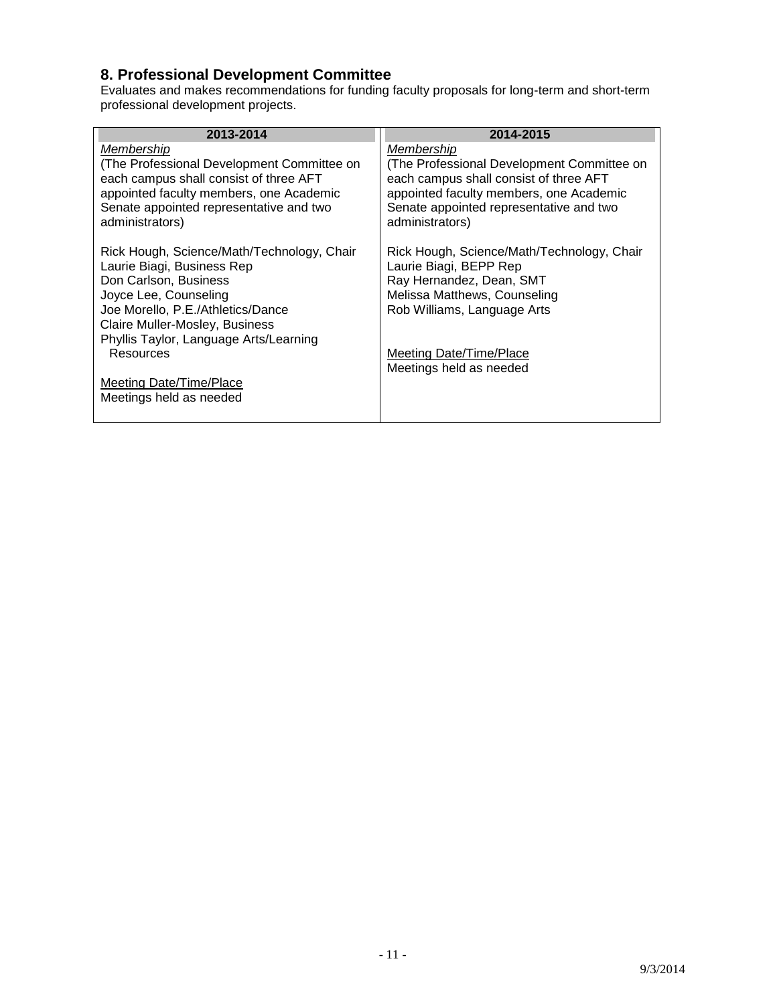# <span id="page-10-0"></span>**8. Professional Development Committee**

Evaluates and makes recommendations for funding faculty proposals for long-term and short-term professional development projects.

| 2013-2014                                                                                             | 2014-2015                                                                                             |
|-------------------------------------------------------------------------------------------------------|-------------------------------------------------------------------------------------------------------|
| Membership<br>(The Professional Development Committee on<br>each campus shall consist of three AFT    | Membership<br>(The Professional Development Committee on<br>each campus shall consist of three AFT    |
| appointed faculty members, one Academic<br>Senate appointed representative and two<br>administrators) | appointed faculty members, one Academic<br>Senate appointed representative and two<br>administrators) |
| Rick Hough, Science/Math/Technology, Chair<br>Laurie Biagi, Business Rep                              | Rick Hough, Science/Math/Technology, Chair<br>Laurie Biagi, BEPP Rep                                  |
| Don Carlson, Business                                                                                 | Ray Hernandez, Dean, SMT                                                                              |
| Joyce Lee, Counseling                                                                                 | Melissa Matthews, Counseling                                                                          |
| Joe Morello, P.E./Athletics/Dance                                                                     | Rob Williams, Language Arts                                                                           |
| Claire Muller-Mosley, Business                                                                        |                                                                                                       |
| Phyllis Taylor, Language Arts/Learning                                                                |                                                                                                       |
| Resources                                                                                             | Meeting Date/Time/Place<br>Meetings held as needed                                                    |
| Meeting Date/Time/Place                                                                               |                                                                                                       |
| Meetings held as needed                                                                               |                                                                                                       |
|                                                                                                       |                                                                                                       |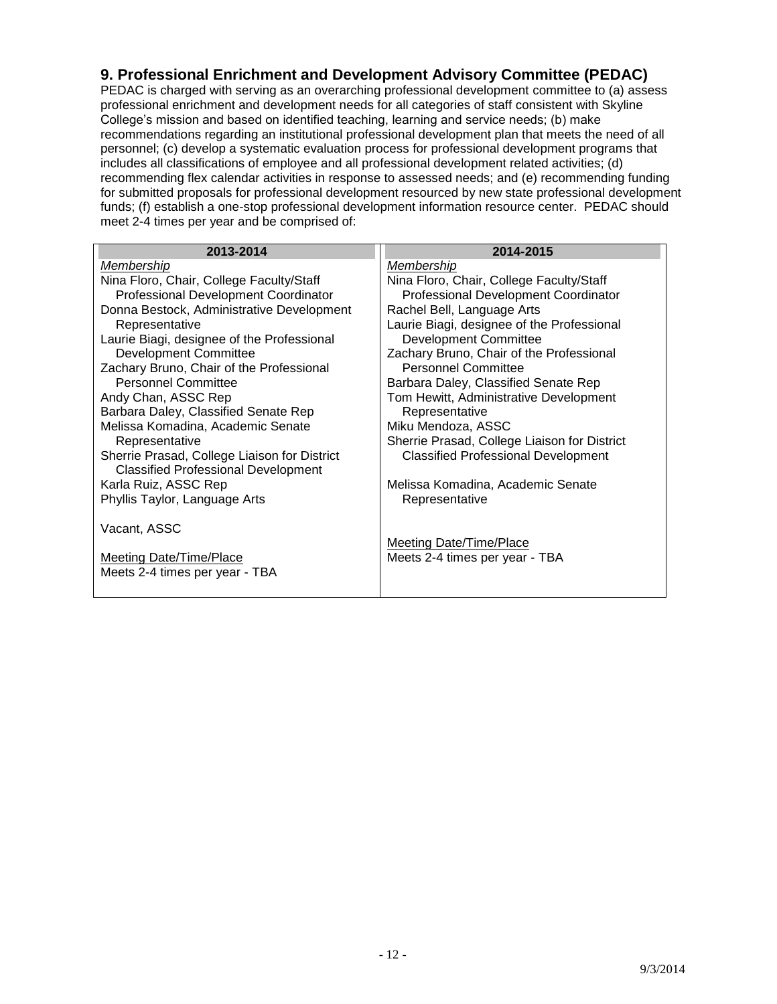#### <span id="page-11-0"></span>**9. Professional Enrichment and Development Advisory Committee (PEDAC)**

PEDAC is charged with serving as an overarching professional development committee to (a) assess professional enrichment and development needs for all categories of staff consistent with Skyline College's mission and based on identified teaching, learning and service needs; (b) make recommendations regarding an institutional professional development plan that meets the need of all personnel; (c) develop a systematic evaluation process for professional development programs that includes all classifications of employee and all professional development related activities; (d) recommending flex calendar activities in response to assessed needs; and (e) recommending funding for submitted proposals for professional development resourced by new state professional development funds; (f) establish a one-stop professional development information resource center. PEDAC should meet 2-4 times per year and be comprised of:

| 2013-2014                                    | 2014-2015                                    |
|----------------------------------------------|----------------------------------------------|
| Membership                                   | Membership                                   |
| Nina Floro, Chair, College Faculty/Staff     | Nina Floro, Chair, College Faculty/Staff     |
| Professional Development Coordinator         | Professional Development Coordinator         |
| Donna Bestock, Administrative Development    | Rachel Bell, Language Arts                   |
| Representative                               | Laurie Biagi, designee of the Professional   |
| Laurie Biagi, designee of the Professional   | <b>Development Committee</b>                 |
| <b>Development Committee</b>                 | Zachary Bruno, Chair of the Professional     |
| Zachary Bruno, Chair of the Professional     | <b>Personnel Committee</b>                   |
| <b>Personnel Committee</b>                   | Barbara Daley, Classified Senate Rep         |
| Andy Chan, ASSC Rep                          | Tom Hewitt, Administrative Development       |
| Barbara Daley, Classified Senate Rep         | Representative                               |
| Melissa Komadina, Academic Senate            | Miku Mendoza, ASSC                           |
| Representative                               | Sherrie Prasad, College Liaison for District |
| Sherrie Prasad, College Liaison for District | <b>Classified Professional Development</b>   |
| <b>Classified Professional Development</b>   |                                              |
| Karla Ruiz, ASSC Rep                         | Melissa Komadina, Academic Senate            |
| Phyllis Taylor, Language Arts                | Representative                               |
|                                              |                                              |
| Vacant, ASSC                                 |                                              |
|                                              | <b>Meeting Date/Time/Place</b>               |
| <b>Meeting Date/Time/Place</b>               | Meets 2-4 times per year - TBA               |
| Meets 2-4 times per year - TBA               |                                              |
|                                              |                                              |
|                                              |                                              |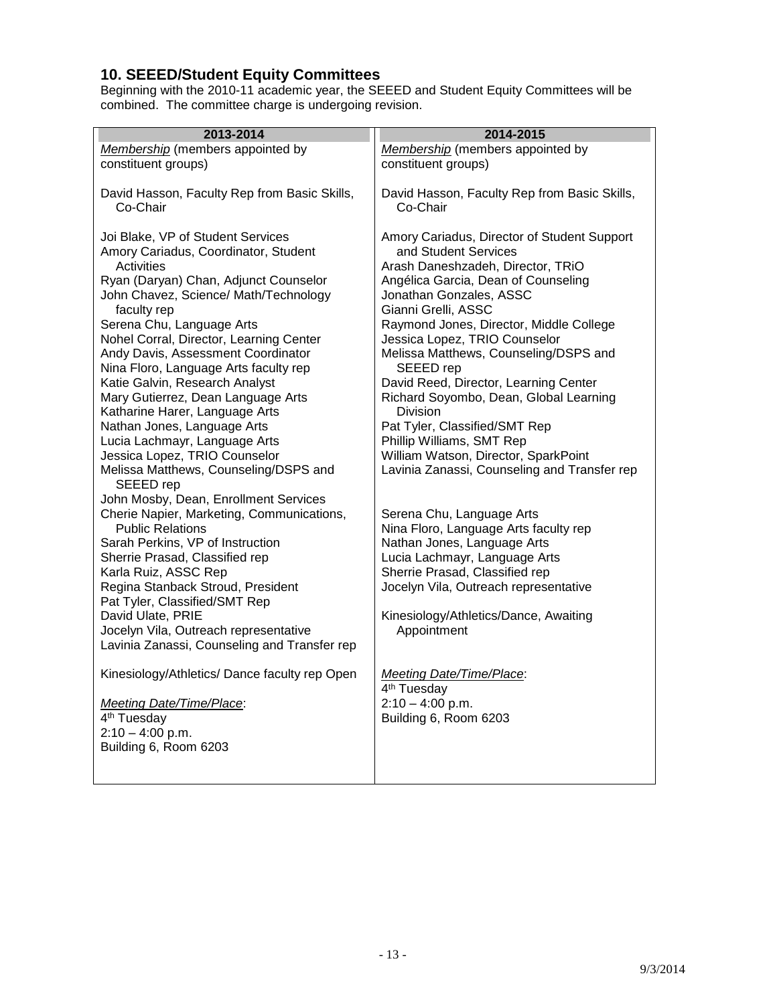#### <span id="page-12-0"></span>**10. SEEED/Student Equity Committees**

Beginning with the 2010-11 academic year, the SEEED and Student Equity Committees will be combined. The committee charge is undergoing revision.

| 2013-2014                                                            | 2014-2015                                                          |
|----------------------------------------------------------------------|--------------------------------------------------------------------|
| Membership (members appointed by                                     | Membership (members appointed by                                   |
| constituent groups)                                                  | constituent groups)                                                |
|                                                                      |                                                                    |
| David Hasson, Faculty Rep from Basic Skills,                         | David Hasson, Faculty Rep from Basic Skills,                       |
| Co-Chair                                                             | Co-Chair                                                           |
|                                                                      |                                                                    |
| Joi Blake, VP of Student Services                                    | Amory Cariadus, Director of Student Support                        |
| Amory Cariadus, Coordinator, Student                                 | and Student Services                                               |
| <b>Activities</b>                                                    | Arash Daneshzadeh, Director, TRiO                                  |
| Ryan (Daryan) Chan, Adjunct Counselor                                | Angélica Garcia, Dean of Counseling                                |
| John Chavez, Science/ Math/Technology                                | Jonathan Gonzales, ASSC                                            |
| faculty rep                                                          | Gianni Grelli, ASSC                                                |
| Serena Chu, Language Arts                                            | Raymond Jones, Director, Middle College                            |
| Nohel Corral, Director, Learning Center                              | Jessica Lopez, TRIO Counselor                                      |
| Andy Davis, Assessment Coordinator                                   | Melissa Matthews, Counseling/DSPS and                              |
| Nina Floro, Language Arts faculty rep                                | SEEED rep                                                          |
| Katie Galvin, Research Analyst                                       | David Reed, Director, Learning Center                              |
| Mary Gutierrez, Dean Language Arts                                   | Richard Soyombo, Dean, Global Learning                             |
| Katharine Harer, Language Arts                                       | <b>Division</b>                                                    |
| Nathan Jones, Language Arts                                          | Pat Tyler, Classified/SMT Rep                                      |
| Lucia Lachmayr, Language Arts                                        | Phillip Williams, SMT Rep                                          |
| Jessica Lopez, TRIO Counselor                                        | William Watson, Director, SparkPoint                               |
| Melissa Matthews, Counseling/DSPS and                                | Lavinia Zanassi, Counseling and Transfer rep                       |
| SEEED rep                                                            |                                                                    |
| John Mosby, Dean, Enrollment Services                                |                                                                    |
| Cherie Napier, Marketing, Communications,<br><b>Public Relations</b> | Serena Chu, Language Arts<br>Nina Floro, Language Arts faculty rep |
| Sarah Perkins, VP of Instruction                                     | Nathan Jones, Language Arts                                        |
| Sherrie Prasad, Classified rep                                       | Lucia Lachmayr, Language Arts                                      |
| Karla Ruiz, ASSC Rep                                                 | Sherrie Prasad, Classified rep                                     |
| Regina Stanback Stroud, President                                    | Jocelyn Vila, Outreach representative                              |
| Pat Tyler, Classified/SMT Rep                                        |                                                                    |
| David Ulate, PRIE                                                    | Kinesiology/Athletics/Dance, Awaiting                              |
| Jocelyn Vila, Outreach representative                                | Appointment                                                        |
| Lavinia Zanassi, Counseling and Transfer rep                         |                                                                    |
|                                                                      |                                                                    |
| Kinesiology/Athletics/ Dance faculty rep Open                        | <b>Meeting Date/Time/Place:</b>                                    |
|                                                                      | 4 <sup>th</sup> Tuesday                                            |
| Meeting Date/Time/Place:                                             | $2:10 - 4:00$ p.m.                                                 |
| 4 <sup>th</sup> Tuesday                                              | Building 6, Room 6203                                              |
| $2:10 - 4:00$ p.m.                                                   |                                                                    |
| Building 6, Room 6203                                                |                                                                    |
|                                                                      |                                                                    |
|                                                                      |                                                                    |

9/3/2014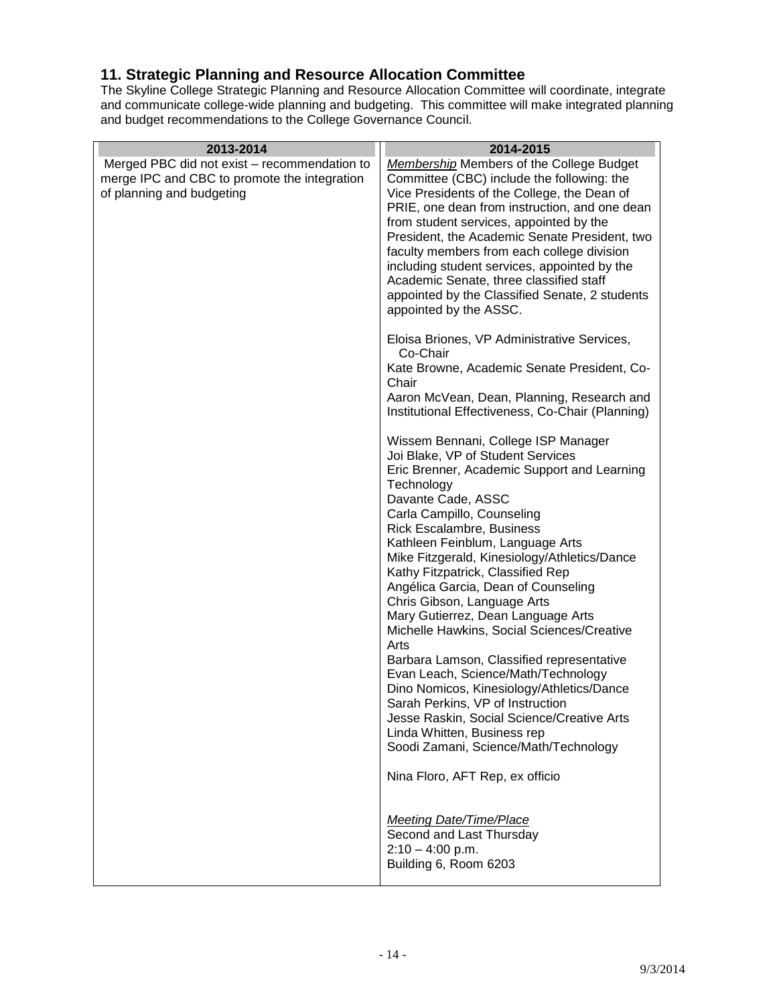#### <span id="page-13-0"></span>**11. Strategic Planning and Resource Allocation Committee**

The Skyline College Strategic Planning and Resource Allocation Committee will coordinate, integrate and communicate college-wide planning and budgeting. This committee will make integrated planning and budget recommendations to the College Governance Council.

| 2013-2014                                                                                                                 | 2014-2015                                                                                                                                                                                                                                                                                                                                                                                                                                                                                                                                                                                                                                                                                                                                                                                                                                              |
|---------------------------------------------------------------------------------------------------------------------------|--------------------------------------------------------------------------------------------------------------------------------------------------------------------------------------------------------------------------------------------------------------------------------------------------------------------------------------------------------------------------------------------------------------------------------------------------------------------------------------------------------------------------------------------------------------------------------------------------------------------------------------------------------------------------------------------------------------------------------------------------------------------------------------------------------------------------------------------------------|
| Merged PBC did not exist – recommendation to<br>merge IPC and CBC to promote the integration<br>of planning and budgeting | <b>Membership Members of the College Budget</b><br>Committee (CBC) include the following: the<br>Vice Presidents of the College, the Dean of<br>PRIE, one dean from instruction, and one dean<br>from student services, appointed by the<br>President, the Academic Senate President, two<br>faculty members from each college division<br>including student services, appointed by the<br>Academic Senate, three classified staff<br>appointed by the Classified Senate, 2 students<br>appointed by the ASSC.<br>Eloisa Briones, VP Administrative Services,<br>Co-Chair<br>Kate Browne, Academic Senate President, Co-<br>Chair<br>Aaron McVean, Dean, Planning, Research and<br>Institutional Effectiveness, Co-Chair (Planning)                                                                                                                    |
|                                                                                                                           | Wissem Bennani, College ISP Manager<br>Joi Blake, VP of Student Services<br>Eric Brenner, Academic Support and Learning<br>Technology<br>Davante Cade, ASSC<br>Carla Campillo, Counseling<br><b>Rick Escalambre, Business</b><br>Kathleen Feinblum, Language Arts<br>Mike Fitzgerald, Kinesiology/Athletics/Dance<br>Kathy Fitzpatrick, Classified Rep<br>Angélica Garcia, Dean of Counseling<br>Chris Gibson, Language Arts<br>Mary Gutierrez, Dean Language Arts<br>Michelle Hawkins, Social Sciences/Creative<br>Arts<br>Barbara Lamson, Classified representative<br>Evan Leach, Science/Math/Technology<br>Dino Nomicos, Kinesiology/Athletics/Dance<br>Sarah Perkins, VP of Instruction<br>Jesse Raskin, Social Science/Creative Arts<br>Linda Whitten, Business rep<br>Soodi Zamani, Science/Math/Technology<br>Nina Floro, AFT Rep, ex officio |
|                                                                                                                           | <b>Meeting Date/Time/Place</b><br>Second and Last Thursday<br>$2:10 - 4:00$ p.m.<br>Building 6, Room 6203                                                                                                                                                                                                                                                                                                                                                                                                                                                                                                                                                                                                                                                                                                                                              |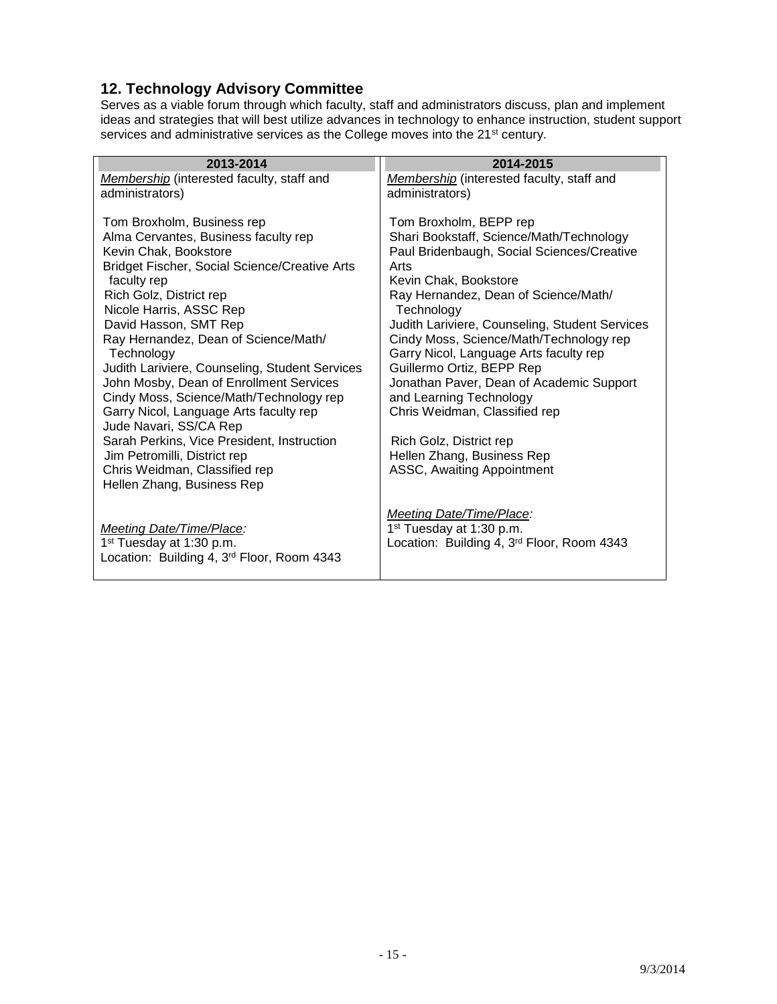# <span id="page-14-0"></span>**12. Technology Advisory Committee**

Serves as a viable forum through which faculty, staff and administrators discuss, plan and implement ideas and strategies that will best utilize advances in technology to enhance instruction, student support services and administrative services as the College moves into the 21st century.

| 2013-2014                                                     | 2014-2015                                                                                 |
|---------------------------------------------------------------|-------------------------------------------------------------------------------------------|
| Membership (interested faculty, staff and                     | Membership (interested faculty, staff and                                                 |
| administrators)                                               | administrators)                                                                           |
|                                                               |                                                                                           |
| Tom Broxholm, Business rep                                    | Tom Broxholm, BEPP rep                                                                    |
| Alma Cervantes, Business faculty rep                          | Shari Bookstaff, Science/Math/Technology                                                  |
| Kevin Chak, Bookstore                                         | Paul Bridenbaugh, Social Sciences/Creative                                                |
| <b>Bridget Fischer, Social Science/Creative Arts</b>          | Arts                                                                                      |
| faculty rep                                                   | Kevin Chak, Bookstore                                                                     |
| Rich Golz, District rep                                       | Ray Hernandez, Dean of Science/Math/                                                      |
| Nicole Harris, ASSC Rep                                       | Technology                                                                                |
| David Hasson, SMT Rep<br>Ray Hernandez, Dean of Science/Math/ | Judith Lariviere, Counseling, Student Services<br>Cindy Moss, Science/Math/Technology rep |
| Technology                                                    | Garry Nicol, Language Arts faculty rep                                                    |
| Judith Lariviere, Counseling, Student Services                | Guillermo Ortiz, BEPP Rep                                                                 |
| John Mosby, Dean of Enrollment Services                       | Jonathan Paver, Dean of Academic Support                                                  |
| Cindy Moss, Science/Math/Technology rep                       | and Learning Technology                                                                   |
| Garry Nicol, Language Arts faculty rep                        | Chris Weidman, Classified rep                                                             |
| Jude Navari, SS/CA Rep                                        |                                                                                           |
| Sarah Perkins, Vice President, Instruction                    | Rich Golz, District rep                                                                   |
| Jim Petromilli, District rep                                  | Hellen Zhang, Business Rep                                                                |
| Chris Weidman, Classified rep                                 | ASSC, Awaiting Appointment                                                                |
| Hellen Zhang, Business Rep                                    |                                                                                           |
|                                                               |                                                                                           |
|                                                               | <b>Meeting Date/Time/Place:</b>                                                           |
| Meeting Date/Time/Place:                                      | 1 <sup>st</sup> Tuesday at 1:30 p.m.                                                      |
| 1 <sup>st</sup> Tuesday at 1:30 p.m.                          | Location: Building 4, 3rd Floor, Room 4343                                                |
| Location: Building 4, 3rd Floor, Room 4343                    |                                                                                           |
|                                                               |                                                                                           |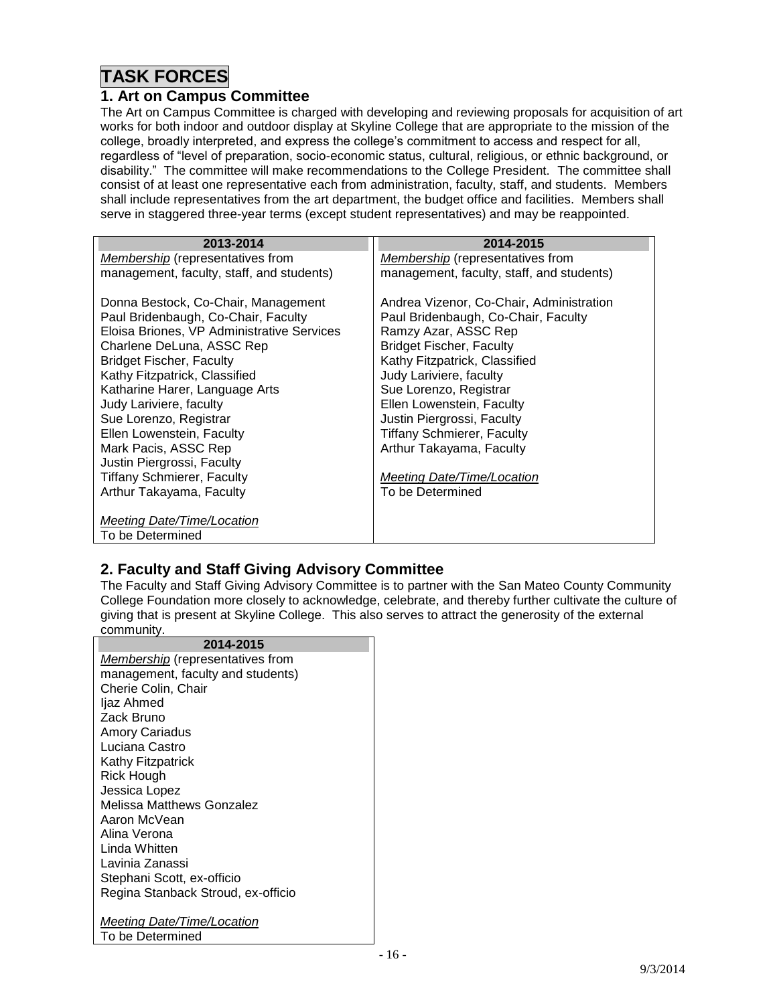# **TASK FORCES**

#### <span id="page-15-0"></span>**1. Art on Campus Committee**

The Art on Campus Committee is charged with developing and reviewing proposals for acquisition of art works for both indoor and outdoor display at Skyline College that are appropriate to the mission of the college, broadly interpreted, and express the college's commitment to access and respect for all, regardless of "level of preparation, socio-economic status, cultural, religious, or ethnic background, or disability." The committee will make recommendations to the College President. The committee shall consist of at least one representative each from administration, faculty, staff, and students. Members shall include representatives from the art department, the budget office and facilities. Members shall serve in staggered three-year terms (except student representatives) and may be reappointed.

| 2013-2014                                  | 2014-2015                                 |
|--------------------------------------------|-------------------------------------------|
| <i>Membership</i> (representatives from    | <i>Membership</i> (representatives from   |
| management, faculty, staff, and students)  | management, faculty, staff, and students) |
| Donna Bestock, Co-Chair, Management        | Andrea Vizenor, Co-Chair, Administration  |
| Paul Bridenbaugh, Co-Chair, Faculty        | Paul Bridenbaugh, Co-Chair, Faculty       |
| Eloisa Briones, VP Administrative Services | Ramzy Azar, ASSC Rep                      |
| Charlene DeLuna, ASSC Rep                  | <b>Bridget Fischer, Faculty</b>           |
| <b>Bridget Fischer, Faculty</b>            | Kathy Fitzpatrick, Classified             |
| Kathy Fitzpatrick, Classified              | Judy Lariviere, faculty                   |
| Katharine Harer, Language Arts             | Sue Lorenzo, Registrar                    |
| Judy Lariviere, faculty                    | Ellen Lowenstein, Faculty                 |
| Sue Lorenzo, Registrar                     | Justin Piergrossi, Faculty                |
| Ellen Lowenstein, Faculty                  | Tiffany Schmierer, Faculty                |
| Mark Pacis, ASSC Rep                       | Arthur Takayama, Faculty                  |
| Justin Piergrossi, Faculty                 |                                           |
| <b>Tiffany Schmierer, Faculty</b>          | Meeting Date/Time/Location                |
| Arthur Takayama, Faculty                   | To be Determined                          |
|                                            |                                           |
| Meeting Date/Time/Location                 |                                           |
| To be Determined                           |                                           |

# <span id="page-15-1"></span>**2. Faculty and Staff Giving Advisory Committee**

The Faculty and Staff Giving Advisory Committee is to partner with the San Mateo County Community College Foundation more closely to acknowledge, celebrate, and thereby further cultivate the culture of giving that is present at Skyline College. This also serves to attract the generosity of the external community.

| 2014-2015                               |  |
|-----------------------------------------|--|
| <b>Membership</b> (representatives from |  |
| management, faculty and students)       |  |
| Cherie Colin, Chair                     |  |
| ljaz Ahmed                              |  |
| Zack Bruno                              |  |
| <b>Amory Cariadus</b>                   |  |
| Luciana Castro                          |  |
| <b>Kathy Fitzpatrick</b>                |  |
| Rick Hough                              |  |
| Jessica Lopez                           |  |
| Melissa Matthews Gonzalez               |  |
| Aaron McVean                            |  |
| Alina Verona                            |  |
| Linda Whitten                           |  |
| Lavinia Zanassi                         |  |
| Stephani Scott, ex-officio              |  |
| Regina Stanback Stroud, ex-officio      |  |
| Meeting Date/Time/Location              |  |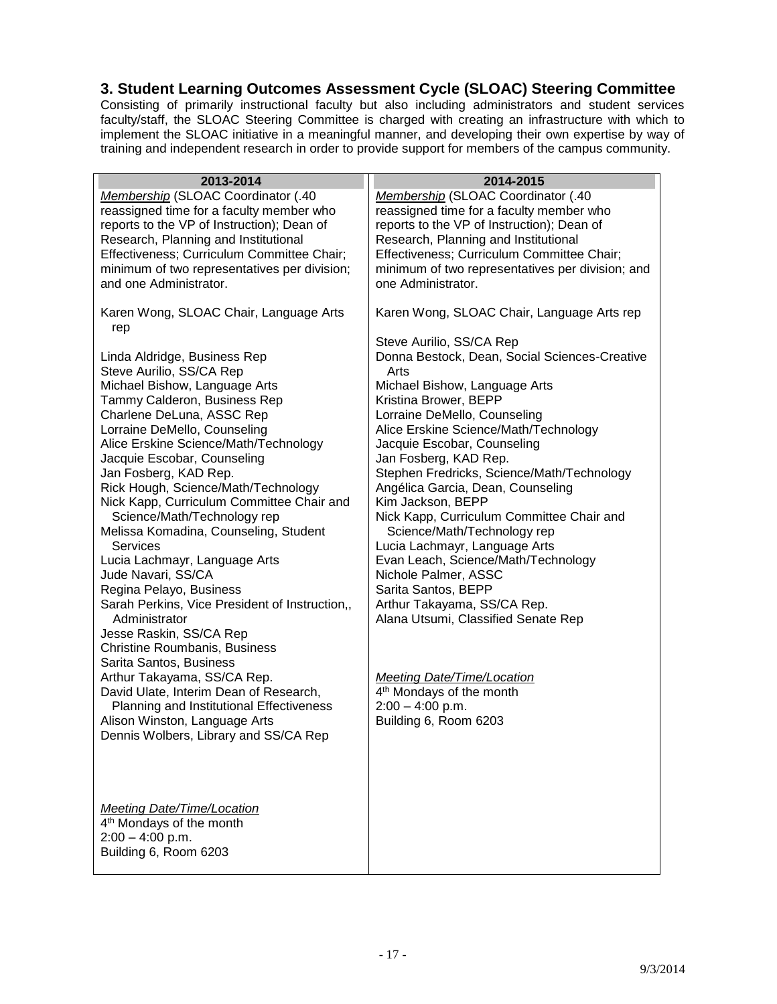#### <span id="page-16-0"></span>**3. Student Learning Outcomes Assessment Cycle (SLOAC) Steering Committee**

Consisting of primarily instructional faculty but also including administrators and student services faculty/staff, the SLOAC Steering Committee is charged with creating an infrastructure with which to implement the SLOAC initiative in a meaningful manner, and developing their own expertise by way of training and independent research in order to provide support for members of the campus community.

| 2013-2014                                           | 2014-2015                                                            |
|-----------------------------------------------------|----------------------------------------------------------------------|
| Membership (SLOAC Coordinator (.40                  | Membership (SLOAC Coordinator (.40                                   |
| reassigned time for a faculty member who            | reassigned time for a faculty member who                             |
| reports to the VP of Instruction); Dean of          | reports to the VP of Instruction); Dean of                           |
| Research, Planning and Institutional                | Research, Planning and Institutional                                 |
| Effectiveness; Curriculum Committee Chair;          | Effectiveness; Curriculum Committee Chair;                           |
| minimum of two representatives per division;        | minimum of two representatives per division; and                     |
| and one Administrator.                              | one Administrator.                                                   |
|                                                     |                                                                      |
| Karen Wong, SLOAC Chair, Language Arts              | Karen Wong, SLOAC Chair, Language Arts rep                           |
| rep                                                 |                                                                      |
|                                                     | Steve Aurilio, SS/CA Rep                                             |
| Linda Aldridge, Business Rep                        | Donna Bestock, Dean, Social Sciences-Creative                        |
| Steve Aurilio, SS/CA Rep                            | Arts                                                                 |
| Michael Bishow, Language Arts                       | Michael Bishow, Language Arts                                        |
| Tammy Calderon, Business Rep                        | Kristina Brower, BEPP                                                |
| Charlene DeLuna, ASSC Rep                           | Lorraine DeMello, Counseling                                         |
| Lorraine DeMello, Counseling                        | Alice Erskine Science/Math/Technology                                |
| Alice Erskine Science/Math/Technology               | Jacquie Escobar, Counseling                                          |
| Jacquie Escobar, Counseling                         | Jan Fosberg, KAD Rep.                                                |
| Jan Fosberg, KAD Rep.                               | Stephen Fredricks, Science/Math/Technology                           |
| Rick Hough, Science/Math/Technology                 | Angélica Garcia, Dean, Counseling                                    |
| Nick Kapp, Curriculum Committee Chair and           | Kim Jackson, BEPP                                                    |
| Science/Math/Technology rep                         | Nick Kapp, Curriculum Committee Chair and                            |
| Melissa Komadina, Counseling, Student               | Science/Math/Technology rep                                          |
| <b>Services</b>                                     | Lucia Lachmayr, Language Arts<br>Evan Leach, Science/Math/Technology |
| Lucia Lachmayr, Language Arts<br>Jude Navari, SS/CA | Nichole Palmer, ASSC                                                 |
| Regina Pelayo, Business                             | Sarita Santos, BEPP                                                  |
| Sarah Perkins, Vice President of Instruction,,      | Arthur Takayama, SS/CA Rep.                                          |
| Administrator                                       | Alana Utsumi, Classified Senate Rep                                  |
| Jesse Raskin, SS/CA Rep                             |                                                                      |
| Christine Roumbanis, Business                       |                                                                      |
| Sarita Santos, Business                             |                                                                      |
| Arthur Takayama, SS/CA Rep.                         | <b>Meeting Date/Time/Location</b>                                    |
| David Ulate, Interim Dean of Research,              | 4 <sup>th</sup> Mondays of the month                                 |
| Planning and Institutional Effectiveness            | $2:00 - 4:00$ p.m.                                                   |
| Alison Winston, Language Arts                       | Building 6, Room 6203                                                |
| Dennis Wolbers, Library and SS/CA Rep               |                                                                      |
|                                                     |                                                                      |
|                                                     |                                                                      |
|                                                     |                                                                      |
|                                                     |                                                                      |
| <b>Meeting Date/Time/Location</b>                   |                                                                      |
| 4 <sup>th</sup> Mondays of the month                |                                                                      |
| $2:00 - 4:00$ p.m.                                  |                                                                      |
| Building 6, Room 6203                               |                                                                      |
|                                                     |                                                                      |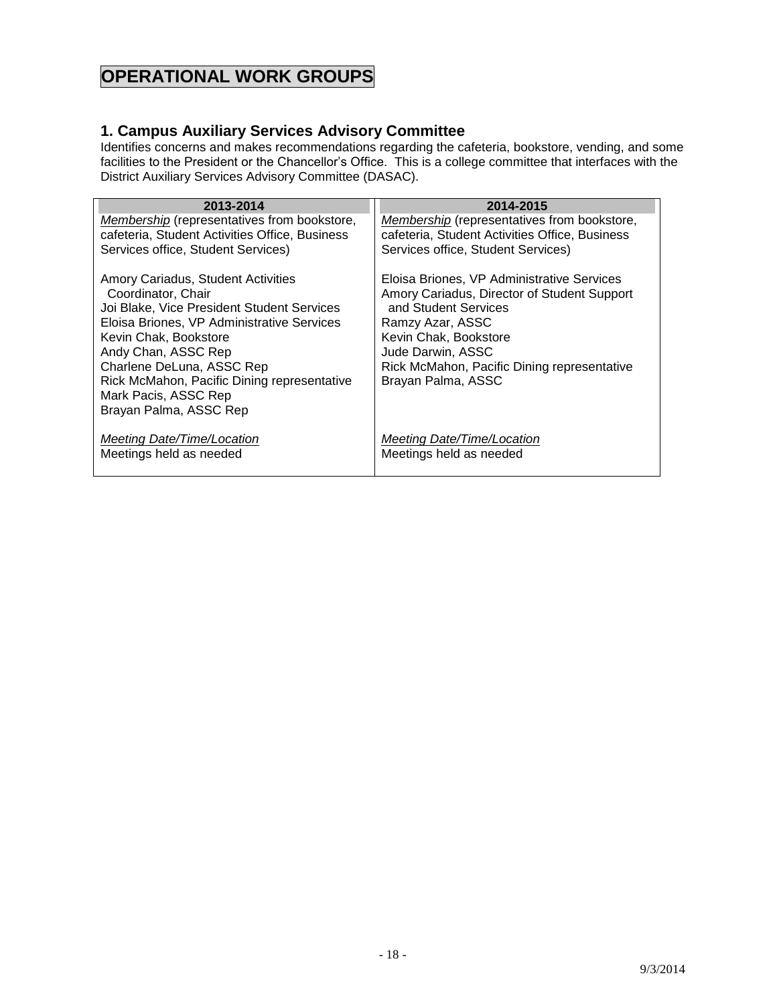# **OPERATIONAL WORK GROUPS**

#### <span id="page-17-0"></span>**1. Campus Auxiliary Services Advisory Committee**

Identifies concerns and makes recommendations regarding the cafeteria, bookstore, vending, and some facilities to the President or the Chancellor's Office. This is a college committee that interfaces with the District Auxiliary Services Advisory Committee (DASAC).

| 2013-2014                                                                                                                                                                                                                                                                                                                          | 2014-2015                                                                                                                                                                                                                                                |
|------------------------------------------------------------------------------------------------------------------------------------------------------------------------------------------------------------------------------------------------------------------------------------------------------------------------------------|----------------------------------------------------------------------------------------------------------------------------------------------------------------------------------------------------------------------------------------------------------|
| <b>Membership</b> (representatives from bookstore,                                                                                                                                                                                                                                                                                 | <b>Membership</b> (representatives from bookstore,                                                                                                                                                                                                       |
| cafeteria, Student Activities Office, Business                                                                                                                                                                                                                                                                                     | cafeteria, Student Activities Office, Business                                                                                                                                                                                                           |
| Services office, Student Services)                                                                                                                                                                                                                                                                                                 | Services office, Student Services)                                                                                                                                                                                                                       |
| Amory Cariadus, Student Activities<br>Coordinator, Chair<br>Joi Blake, Vice President Student Services<br>Eloisa Briones, VP Administrative Services<br>Kevin Chak, Bookstore<br>Andy Chan, ASSC Rep<br>Charlene DeLuna, ASSC Rep<br>Rick McMahon, Pacific Dining representative<br>Mark Pacis, ASSC Rep<br>Brayan Palma, ASSC Rep | Eloisa Briones, VP Administrative Services<br>Amory Cariadus, Director of Student Support<br>and Student Services<br>Ramzy Azar, ASSC<br>Kevin Chak, Bookstore<br>Jude Darwin, ASSC<br>Rick McMahon, Pacific Dining representative<br>Brayan Palma, ASSC |
| Meeting Date/Time/Location                                                                                                                                                                                                                                                                                                         | Meeting Date/Time/Location                                                                                                                                                                                                                               |
| Meetings held as needed                                                                                                                                                                                                                                                                                                            | Meetings held as needed                                                                                                                                                                                                                                  |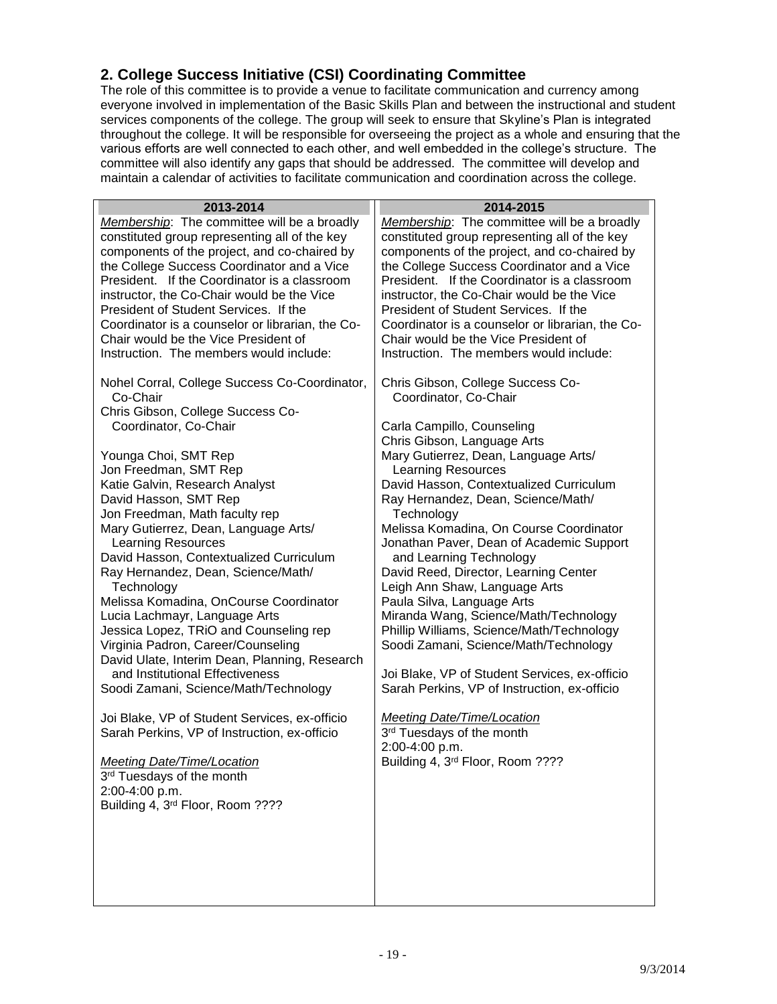# <span id="page-18-0"></span>**2. College Success Initiative (CSI) Coordinating Committee**

The role of this committee is to provide a venue to facilitate communication and currency among everyone involved in implementation of the Basic Skills Plan and between the instructional and student services components of the college. The group will seek to ensure that Skyline's Plan is integrated throughout the college. It will be responsible for overseeing the project as a whole and ensuring that the various efforts are well connected to each other, and well embedded in the college's structure. The committee will also identify any gaps that should be addressed. The committee will develop and maintain a calendar of activities to facilitate communication and coordination across the college.

| 2013-2014                                                                                                                                                                                                                                                                                                                                                                                                                                                                                                                                                                                                                                                                                                                                                                                                                                                                                                                                                                                                                                                                                                                                                                                                                                                                                                                                                                                                                       |                                                                                                                                                                                                                                                                                                                                                                                                                                                                                                                                                                                                                                                                                                                                                                                                                                                                                                                                                                                                                                                                                                                                                                                                                                                                                                                                                                 |
|---------------------------------------------------------------------------------------------------------------------------------------------------------------------------------------------------------------------------------------------------------------------------------------------------------------------------------------------------------------------------------------------------------------------------------------------------------------------------------------------------------------------------------------------------------------------------------------------------------------------------------------------------------------------------------------------------------------------------------------------------------------------------------------------------------------------------------------------------------------------------------------------------------------------------------------------------------------------------------------------------------------------------------------------------------------------------------------------------------------------------------------------------------------------------------------------------------------------------------------------------------------------------------------------------------------------------------------------------------------------------------------------------------------------------------|-----------------------------------------------------------------------------------------------------------------------------------------------------------------------------------------------------------------------------------------------------------------------------------------------------------------------------------------------------------------------------------------------------------------------------------------------------------------------------------------------------------------------------------------------------------------------------------------------------------------------------------------------------------------------------------------------------------------------------------------------------------------------------------------------------------------------------------------------------------------------------------------------------------------------------------------------------------------------------------------------------------------------------------------------------------------------------------------------------------------------------------------------------------------------------------------------------------------------------------------------------------------------------------------------------------------------------------------------------------------|
| Membership: The committee will be a broadly<br>constituted group representing all of the key<br>components of the project, and co-chaired by<br>the College Success Coordinator and a Vice<br>President. If the Coordinator is a classroom<br>instructor, the Co-Chair would be the Vice<br>President of Student Services. If the<br>Coordinator is a counselor or librarian, the Co-<br>Chair would be the Vice President of<br>Instruction. The members would include:<br>Nohel Corral, College Success Co-Coordinator,<br>Co-Chair<br>Chris Gibson, College Success Co-<br>Coordinator, Co-Chair<br>Younga Choi, SMT Rep<br>Jon Freedman, SMT Rep<br>Katie Galvin, Research Analyst<br>David Hasson, SMT Rep<br>Jon Freedman, Math faculty rep<br>Mary Gutierrez, Dean, Language Arts/<br><b>Learning Resources</b><br>David Hasson, Contextualized Curriculum<br>Ray Hernandez, Dean, Science/Math/<br>Technology<br>Melissa Komadina, OnCourse Coordinator<br>Lucia Lachmayr, Language Arts<br>Jessica Lopez, TRiO and Counseling rep<br>Virginia Padron, Career/Counseling<br>David Ulate, Interim Dean, Planning, Research<br>and Institutional Effectiveness<br>Soodi Zamani, Science/Math/Technology<br>Joi Blake, VP of Student Services, ex-officio<br>Sarah Perkins, VP of Instruction, ex-officio<br>Meeting Date/Time/Location<br>3rd Tuesdays of the month<br>2:00-4:00 p.m.<br>Building 4, 3rd Floor, Room ???? | 2014-2015<br>Membership: The committee will be a broadly<br>constituted group representing all of the key<br>components of the project, and co-chaired by<br>the College Success Coordinator and a Vice<br>President. If the Coordinator is a classroom<br>instructor, the Co-Chair would be the Vice<br>President of Student Services. If the<br>Coordinator is a counselor or librarian, the Co-<br>Chair would be the Vice President of<br>Instruction. The members would include:<br>Chris Gibson, College Success Co-<br>Coordinator, Co-Chair<br>Carla Campillo, Counseling<br>Chris Gibson, Language Arts<br>Mary Gutierrez, Dean, Language Arts/<br>Learning Resources<br>David Hasson, Contextualized Curriculum<br>Ray Hernandez, Dean, Science/Math/<br>Technology<br>Melissa Komadina, On Course Coordinator<br>Jonathan Paver, Dean of Academic Support<br>and Learning Technology<br>David Reed, Director, Learning Center<br>Leigh Ann Shaw, Language Arts<br>Paula Silva, Language Arts<br>Miranda Wang, Science/Math/Technology<br>Phillip Williams, Science/Math/Technology<br>Soodi Zamani, Science/Math/Technology<br>Joi Blake, VP of Student Services, ex-officio<br>Sarah Perkins, VP of Instruction, ex-officio<br><b>Meeting Date/Time/Location</b><br>3rd Tuesdays of the month<br>2:00-4:00 p.m.<br>Building 4, 3rd Floor, Room ???? |
|                                                                                                                                                                                                                                                                                                                                                                                                                                                                                                                                                                                                                                                                                                                                                                                                                                                                                                                                                                                                                                                                                                                                                                                                                                                                                                                                                                                                                                 |                                                                                                                                                                                                                                                                                                                                                                                                                                                                                                                                                                                                                                                                                                                                                                                                                                                                                                                                                                                                                                                                                                                                                                                                                                                                                                                                                                 |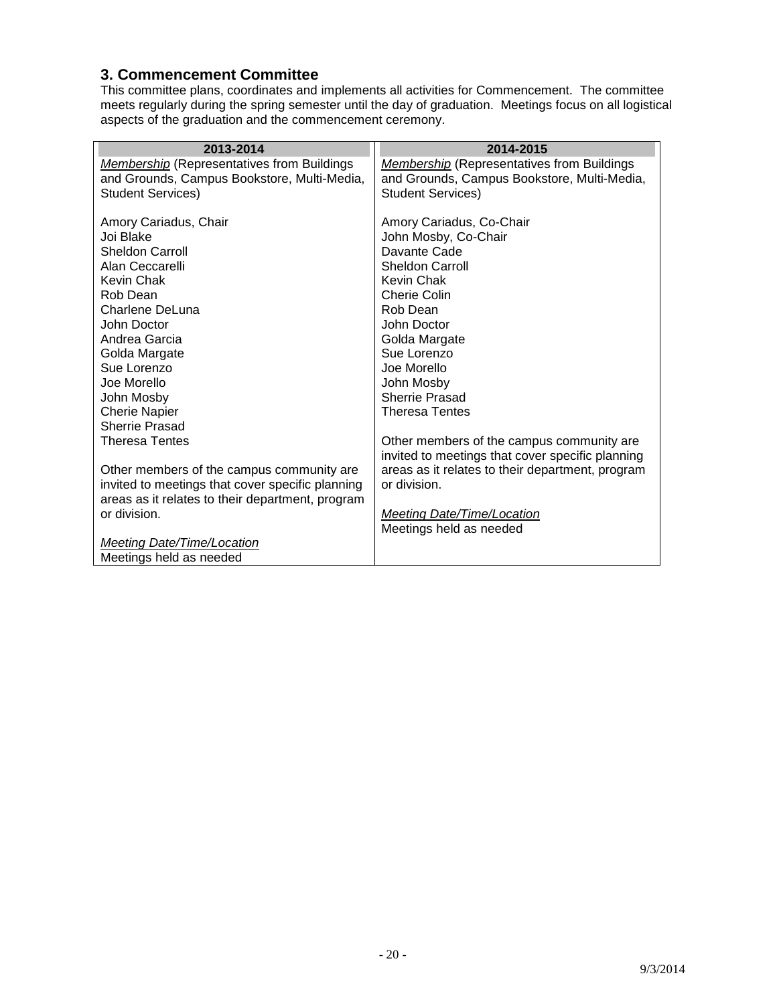#### <span id="page-19-0"></span>**3. Commencement Committee**

This committee plans, coordinates and implements all activities for Commencement. The committee meets regularly during the spring semester until the day of graduation. Meetings focus on all logistical aspects of the graduation and the commencement ceremony.

| 2013-2014                                         | 2014-2015                                         |
|---------------------------------------------------|---------------------------------------------------|
| <b>Membership</b> (Representatives from Buildings | <b>Membership (Representatives from Buildings</b> |
| and Grounds, Campus Bookstore, Multi-Media,       | and Grounds, Campus Bookstore, Multi-Media,       |
| <b>Student Services)</b>                          | <b>Student Services)</b>                          |
| Amory Cariadus, Chair                             | Amory Cariadus, Co-Chair                          |
| Joi Blake                                         | John Mosby, Co-Chair                              |
| <b>Sheldon Carroll</b>                            | Davante Cade                                      |
| Alan Ceccarelli                                   | <b>Sheldon Carroll</b>                            |
| Kevin Chak                                        | Kevin Chak                                        |
| Rob Dean                                          | Cherie Colin                                      |
| Charlene DeLuna                                   | Rob Dean                                          |
| John Doctor                                       | John Doctor                                       |
| Andrea Garcia                                     | Golda Margate                                     |
| Golda Margate                                     | Sue Lorenzo                                       |
| Sue Lorenzo                                       | Joe Morello                                       |
| Joe Morello                                       | John Mosby                                        |
| John Mosby                                        | Sherrie Prasad                                    |
| <b>Cherie Napier</b>                              | <b>Theresa Tentes</b>                             |
| <b>Sherrie Prasad</b>                             |                                                   |
| <b>Theresa Tentes</b>                             | Other members of the campus community are         |
|                                                   | invited to meetings that cover specific planning  |
| Other members of the campus community are         | areas as it relates to their department, program  |
| invited to meetings that cover specific planning  | or division.                                      |
| areas as it relates to their department, program  |                                                   |
| or division.                                      | Meeting Date/Time/Location                        |
|                                                   | Meetings held as needed                           |
| <b>Meeting Date/Time/Location</b>                 |                                                   |
| Meetings held as needed                           |                                                   |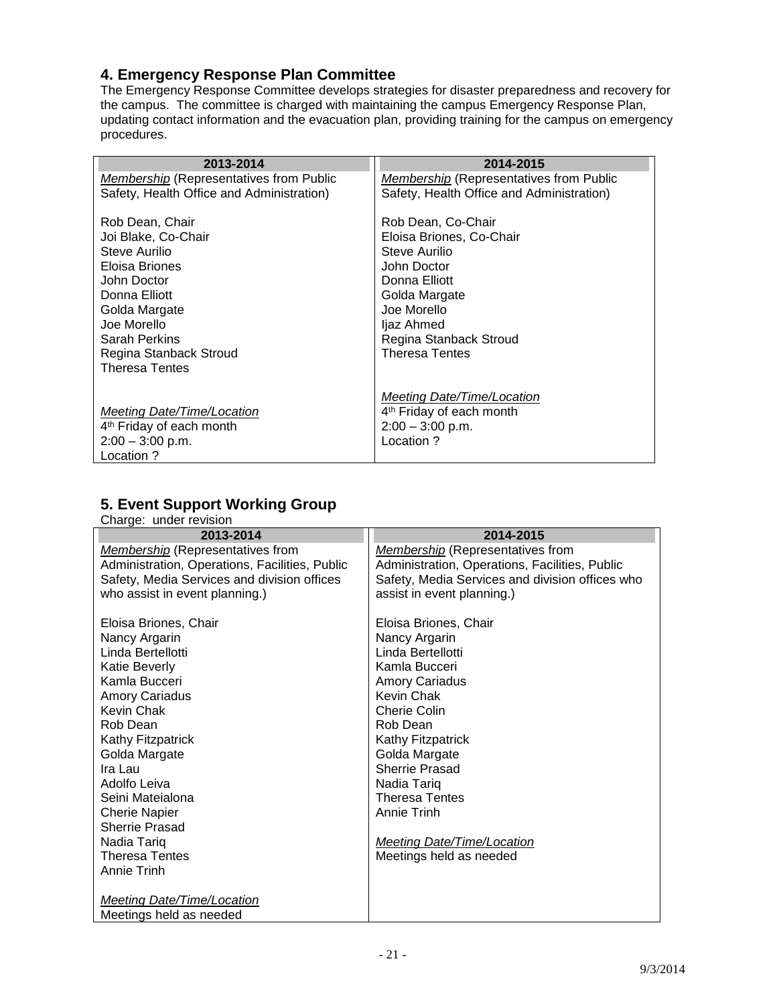#### <span id="page-20-0"></span>**4. Emergency Response Plan Committee**

The Emergency Response Committee develops strategies for disaster preparedness and recovery for the campus. The committee is charged with maintaining the campus Emergency Response Plan, updating contact information and the evacuation plan, providing training for the campus on emergency procedures.

| 2013-2014                                                                                                                                                                                                     | 2014-2015                                                                                                                                                                                        |
|---------------------------------------------------------------------------------------------------------------------------------------------------------------------------------------------------------------|--------------------------------------------------------------------------------------------------------------------------------------------------------------------------------------------------|
| <i>Membership</i> (Representatives from Public                                                                                                                                                                | <i>Membership</i> (Representatives from Public                                                                                                                                                   |
| Safety, Health Office and Administration)                                                                                                                                                                     | Safety, Health Office and Administration)                                                                                                                                                        |
| Rob Dean, Chair<br>Joi Blake, Co-Chair<br>Steve Aurilio<br>Eloisa Briones<br>John Doctor<br>Donna Elliott<br>Golda Margate<br>Joe Morello<br>Sarah Perkins<br>Regina Stanback Stroud<br><b>Theresa Tentes</b> | Rob Dean, Co-Chair<br>Eloisa Briones, Co-Chair<br>Steve Aurilio<br>John Doctor<br>Donna Elliott<br>Golda Margate<br>Joe Morello<br>ljaz Ahmed<br>Regina Stanback Stroud<br><b>Theresa Tentes</b> |
| Meeting Date/Time/Location                                                                                                                                                                                    | <b>Meeting Date/Time/Location</b>                                                                                                                                                                |
| 4 <sup>th</sup> Friday of each month                                                                                                                                                                          | 4 <sup>th</sup> Friday of each month                                                                                                                                                             |
| $2:00 - 3:00$ p.m.                                                                                                                                                                                            | $2:00 - 3:00$ p.m.                                                                                                                                                                               |
| Location ?                                                                                                                                                                                                    | Location ?                                                                                                                                                                                       |

# <span id="page-20-1"></span>**5. Event Support Working Group**

| Charge: under revision                         |                                                 |
|------------------------------------------------|-------------------------------------------------|
| 2013-2014                                      | 2014-2015                                       |
| <b>Membership</b> (Representatives from        | Membership (Representatives from                |
| Administration, Operations, Facilities, Public | Administration, Operations, Facilities, Public  |
| Safety, Media Services and division offices    | Safety, Media Services and division offices who |
| who assist in event planning.)                 | assist in event planning.)                      |
|                                                |                                                 |
| Eloisa Briones, Chair                          | Eloisa Briones, Chair                           |
| Nancy Argarin                                  | Nancy Argarin                                   |
| Linda Bertellotti                              | Linda Bertellotti                               |
| Katie Beverly                                  | Kamla Bucceri                                   |
| Kamla Bucceri                                  | <b>Amory Cariadus</b>                           |
| <b>Amory Cariadus</b>                          | Kevin Chak                                      |
| Kevin Chak                                     | Cherie Colin                                    |
| Rob Dean                                       | Rob Dean                                        |
| Kathy Fitzpatrick                              | Kathy Fitzpatrick                               |
| Golda Margate                                  | Golda Margate                                   |
| Ira Lau                                        | <b>Sherrie Prasad</b>                           |
| Adolfo Leiva                                   | Nadia Tariq                                     |
| Seini Mateialona                               | <b>Theresa Tentes</b>                           |
| <b>Cherie Napier</b>                           | Annie Trinh                                     |
| <b>Sherrie Prasad</b>                          |                                                 |
| Nadia Tariq                                    | <b>Meeting Date/Time/Location</b>               |
| <b>Theresa Tentes</b>                          | Meetings held as needed                         |
| <b>Annie Trinh</b>                             |                                                 |
|                                                |                                                 |
| <b>Meeting Date/Time/Location</b>              |                                                 |
| Meetings held as needed                        |                                                 |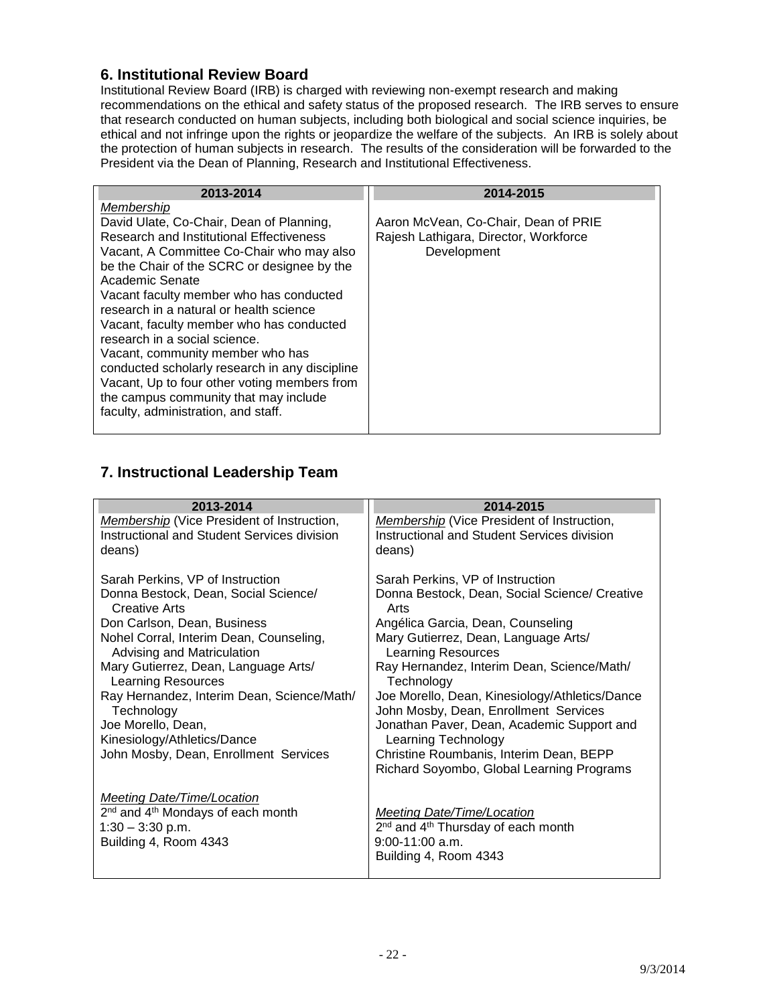#### <span id="page-21-0"></span>**6. Institutional Review Board**

Institutional Review Board (IRB) is charged with reviewing non-exempt research and making recommendations on the ethical and safety status of the proposed research. The IRB serves to ensure that research conducted on human subjects, including both biological and social science inquiries, be ethical and not infringe upon the rights or jeopardize the welfare of the subjects. An IRB is solely about the protection of human subjects in research. The results of the consideration will be forwarded to the President via the Dean of Planning, Research and Institutional Effectiveness.

| 2013-2014                                                                          | 2014-2015                             |
|------------------------------------------------------------------------------------|---------------------------------------|
| Membership                                                                         |                                       |
| David Ulate, Co-Chair, Dean of Planning,                                           | Aaron McVean, Co-Chair, Dean of PRIE  |
| Research and Institutional Effectiveness                                           | Rajesh Lathigara, Director, Workforce |
| Vacant, A Committee Co-Chair who may also                                          | Development                           |
| be the Chair of the SCRC or designee by the                                        |                                       |
| Academic Senate                                                                    |                                       |
| Vacant faculty member who has conducted<br>research in a natural or health science |                                       |
| Vacant, faculty member who has conducted                                           |                                       |
| research in a social science.                                                      |                                       |
| Vacant, community member who has                                                   |                                       |
| conducted scholarly research in any discipline                                     |                                       |
| Vacant, Up to four other voting members from                                       |                                       |
| the campus community that may include                                              |                                       |
| faculty, administration, and staff.                                                |                                       |
|                                                                                    |                                       |

### <span id="page-21-1"></span>**7. Instructional Leadership Team**

<span id="page-21-2"></span>

| Donna Bestock, Dean, Social Science/ Creative  |
|------------------------------------------------|
|                                                |
|                                                |
|                                                |
| Ray Hernandez, Interim Dean, Science/Math/     |
| Joe Morello, Dean, Kinesiology/Athletics/Dance |
| Jonathan Paver, Dean, Academic Support and     |
|                                                |
| Richard Soyombo, Global Learning Programs      |
|                                                |
|                                                |
|                                                |
|                                                |
|                                                |
|                                                |
|                                                |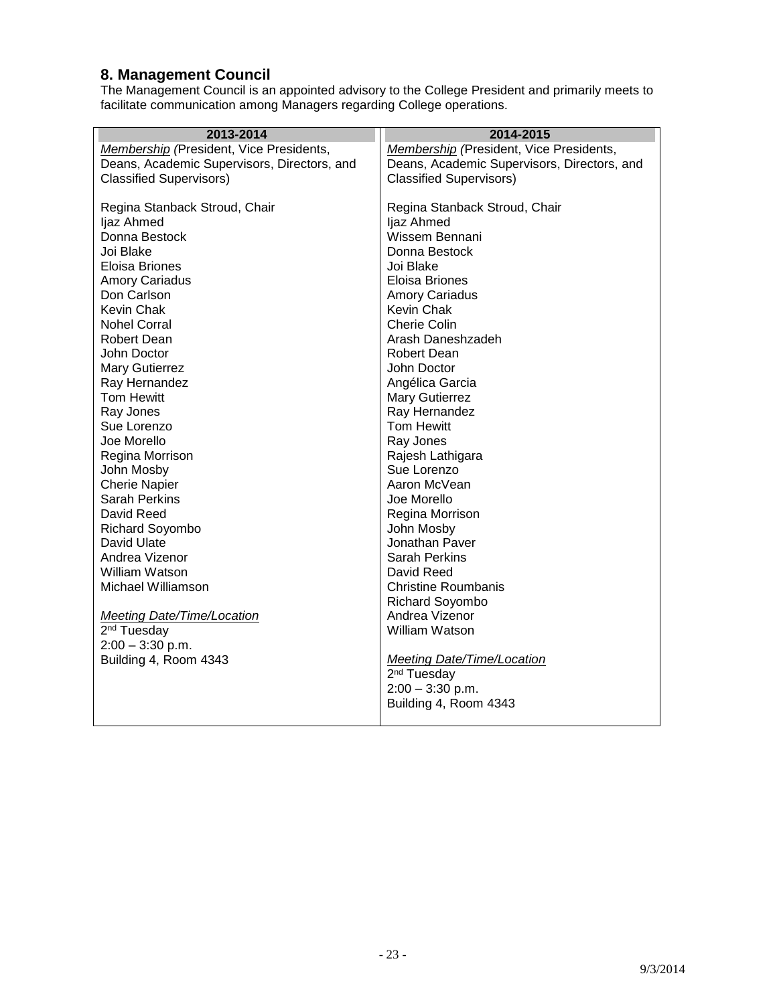# **8. Management Council**

The Management Council is an appointed advisory to the College President and primarily meets to facilitate communication among Managers regarding College operations.

| 2013-2014                                   | 2014-2015                                   |
|---------------------------------------------|---------------------------------------------|
| Membership (President, Vice Presidents,     | Membership (President, Vice Presidents,     |
| Deans, Academic Supervisors, Directors, and | Deans, Academic Supervisors, Directors, and |
| <b>Classified Supervisors)</b>              | <b>Classified Supervisors)</b>              |
|                                             |                                             |
| Regina Stanback Stroud, Chair               | Regina Stanback Stroud, Chair               |
| ljaz Ahmed                                  | ljaz Ahmed                                  |
| Donna Bestock                               | Wissem Bennani                              |
| Joi Blake                                   | Donna Bestock                               |
| Eloisa Briones                              | Joi Blake                                   |
| <b>Amory Cariadus</b>                       | Eloisa Briones                              |
| Don Carlson                                 | <b>Amory Cariadus</b>                       |
| Kevin Chak                                  | Kevin Chak                                  |
| <b>Nohel Corral</b>                         | <b>Cherie Colin</b>                         |
| <b>Robert Dean</b>                          | Arash Daneshzadeh                           |
| John Doctor                                 | <b>Robert Dean</b>                          |
| Mary Gutierrez                              | John Doctor                                 |
| Ray Hernandez                               | Angélica Garcia                             |
| Tom Hewitt                                  | <b>Mary Gutierrez</b>                       |
| Ray Jones                                   | Ray Hernandez                               |
| Sue Lorenzo                                 | Tom Hewitt                                  |
| Joe Morello                                 | Ray Jones                                   |
| Regina Morrison                             | Rajesh Lathigara                            |
| John Mosby                                  | Sue Lorenzo                                 |
| <b>Cherie Napier</b>                        | Aaron McVean                                |
| <b>Sarah Perkins</b>                        | Joe Morello                                 |
| David Reed                                  | Regina Morrison                             |
| Richard Soyombo                             | John Mosby                                  |
| David Ulate                                 | Jonathan Paver                              |
| Andrea Vizenor                              | <b>Sarah Perkins</b>                        |
| William Watson                              | David Reed                                  |
| Michael Williamson                          | <b>Christine Roumbanis</b>                  |
|                                             | <b>Richard Soyombo</b>                      |
| <b>Meeting Date/Time/Location</b>           | Andrea Vizenor                              |
| 2 <sup>nd</sup> Tuesday                     | William Watson                              |
| $2:00 - 3:30$ p.m.                          |                                             |
| Building 4, Room 4343                       | <b>Meeting Date/Time/Location</b>           |
|                                             | 2 <sup>nd</sup> Tuesday                     |
|                                             | $2:00 - 3:30$ p.m.                          |
|                                             | Building 4, Room 4343                       |
|                                             |                                             |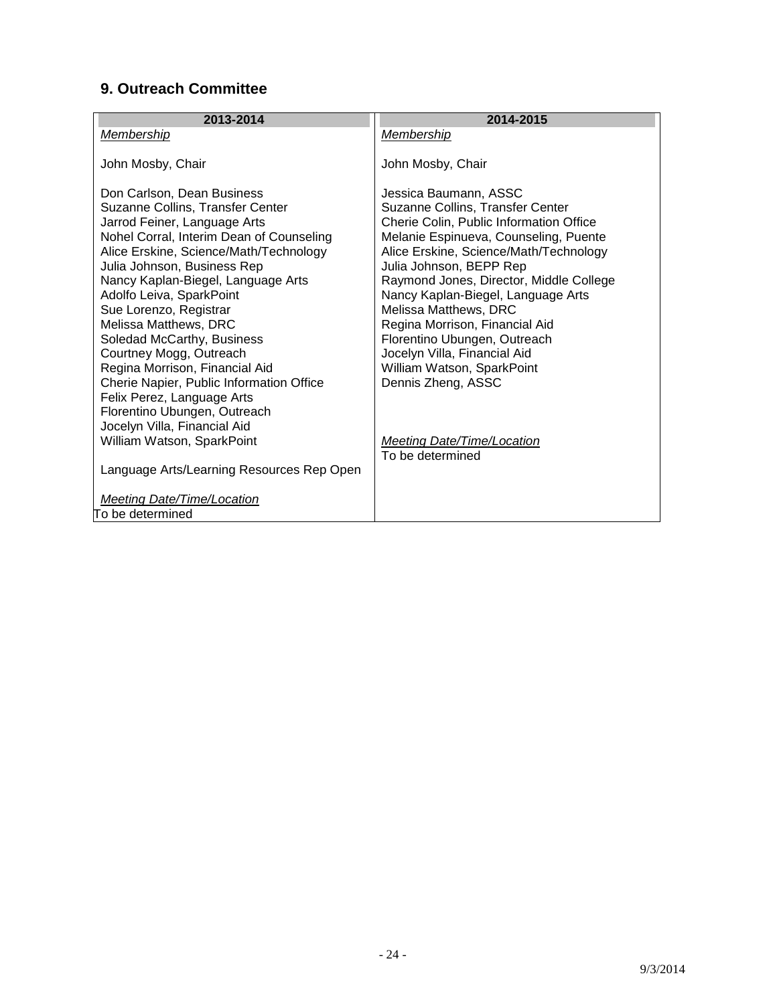# <span id="page-23-0"></span>**9. Outreach Committee**

| 2013-2014                                                                                                                                                                                                                                                                                                                                                                                                                                                                                                                                                                                                                                                                                     | 2014-2015                                                                                                                                                                                                                                                                                                                                                                                                                                                                                                                                   |
|-----------------------------------------------------------------------------------------------------------------------------------------------------------------------------------------------------------------------------------------------------------------------------------------------------------------------------------------------------------------------------------------------------------------------------------------------------------------------------------------------------------------------------------------------------------------------------------------------------------------------------------------------------------------------------------------------|---------------------------------------------------------------------------------------------------------------------------------------------------------------------------------------------------------------------------------------------------------------------------------------------------------------------------------------------------------------------------------------------------------------------------------------------------------------------------------------------------------------------------------------------|
| <b>Membership</b>                                                                                                                                                                                                                                                                                                                                                                                                                                                                                                                                                                                                                                                                             | <b>Membership</b>                                                                                                                                                                                                                                                                                                                                                                                                                                                                                                                           |
| John Mosby, Chair                                                                                                                                                                                                                                                                                                                                                                                                                                                                                                                                                                                                                                                                             | John Mosby, Chair                                                                                                                                                                                                                                                                                                                                                                                                                                                                                                                           |
| Don Carlson, Dean Business<br>Suzanne Collins, Transfer Center<br>Jarrod Feiner, Language Arts<br>Nohel Corral, Interim Dean of Counseling<br>Alice Erskine, Science/Math/Technology<br>Julia Johnson, Business Rep<br>Nancy Kaplan-Biegel, Language Arts<br>Adolfo Leiva, SparkPoint<br>Sue Lorenzo, Registrar<br>Melissa Matthews, DRC<br>Soledad McCarthy, Business<br>Courtney Mogg, Outreach<br>Regina Morrison, Financial Aid<br>Cherie Napier, Public Information Office<br>Felix Perez, Language Arts<br>Florentino Ubungen, Outreach<br>Jocelyn Villa, Financial Aid<br>William Watson, SparkPoint<br>Language Arts/Learning Resources Rep Open<br><b>Meeting Date/Time/Location</b> | Jessica Baumann, ASSC<br>Suzanne Collins, Transfer Center<br>Cherie Colin, Public Information Office<br>Melanie Espinueva, Counseling, Puente<br>Alice Erskine, Science/Math/Technology<br>Julia Johnson, BEPP Rep<br>Raymond Jones, Director, Middle College<br>Nancy Kaplan-Biegel, Language Arts<br>Melissa Matthews, DRC<br>Regina Morrison, Financial Aid<br>Florentino Ubungen, Outreach<br>Jocelyn Villa, Financial Aid<br>William Watson, SparkPoint<br>Dennis Zheng, ASSC<br><b>Meeting Date/Time/Location</b><br>To be determined |
| To be determined                                                                                                                                                                                                                                                                                                                                                                                                                                                                                                                                                                                                                                                                              |                                                                                                                                                                                                                                                                                                                                                                                                                                                                                                                                             |
|                                                                                                                                                                                                                                                                                                                                                                                                                                                                                                                                                                                                                                                                                               |                                                                                                                                                                                                                                                                                                                                                                                                                                                                                                                                             |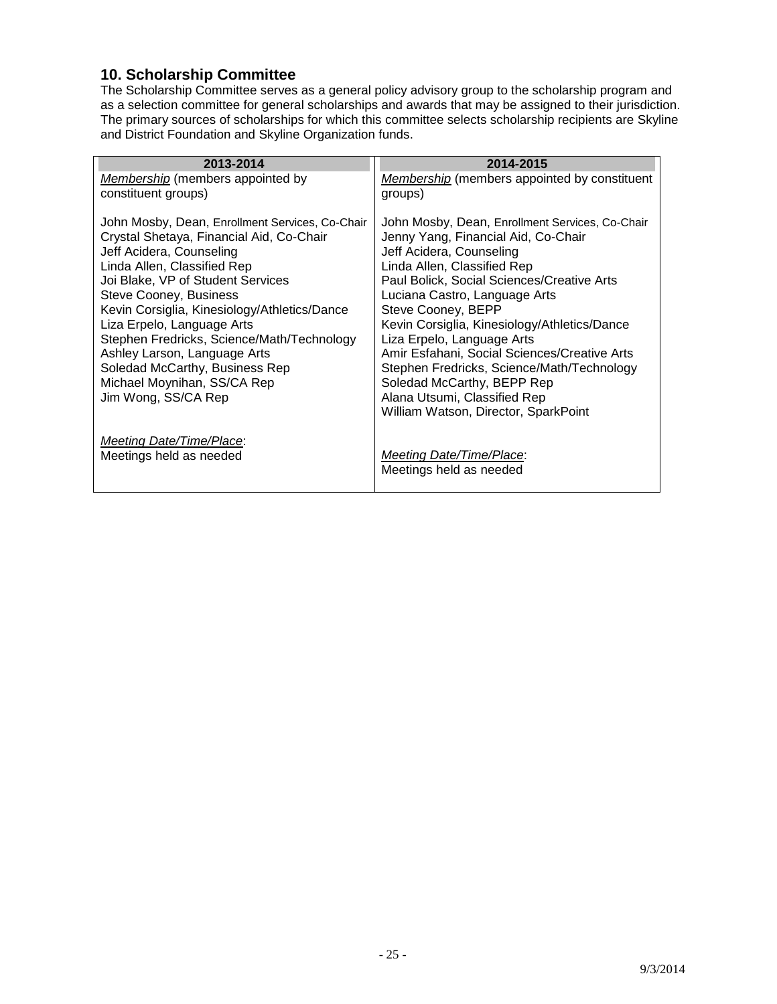#### <span id="page-24-0"></span>**10. Scholarship Committee**

The Scholarship Committee serves as a general policy advisory group to the scholarship program and as a selection committee for general scholarships and awards that may be assigned to their jurisdiction. The primary sources of scholarships for which this committee selects scholarship recipients are Skyline and District Foundation and Skyline Organization funds.

| 2013-2014                                                                                                                                                                                                                                                                                                                                                                                                                                                 | 2014-2015                                                                                                                                                                                                                                                                                                                                                                                                                                                        |
|-----------------------------------------------------------------------------------------------------------------------------------------------------------------------------------------------------------------------------------------------------------------------------------------------------------------------------------------------------------------------------------------------------------------------------------------------------------|------------------------------------------------------------------------------------------------------------------------------------------------------------------------------------------------------------------------------------------------------------------------------------------------------------------------------------------------------------------------------------------------------------------------------------------------------------------|
| <i>Membership</i> (members appointed by                                                                                                                                                                                                                                                                                                                                                                                                                   | Membership (members appointed by constituent                                                                                                                                                                                                                                                                                                                                                                                                                     |
| constituent groups)                                                                                                                                                                                                                                                                                                                                                                                                                                       | groups)                                                                                                                                                                                                                                                                                                                                                                                                                                                          |
| John Mosby, Dean, Enrollment Services, Co-Chair<br>Crystal Shetaya, Financial Aid, Co-Chair<br>Jeff Acidera, Counseling<br>Linda Allen, Classified Rep<br>Joi Blake, VP of Student Services<br><b>Steve Cooney, Business</b><br>Kevin Corsiglia, Kinesiology/Athletics/Dance<br>Liza Erpelo, Language Arts<br>Stephen Fredricks, Science/Math/Technology<br>Ashley Larson, Language Arts<br>Soledad McCarthy, Business Rep<br>Michael Moynihan, SS/CA Rep | John Mosby, Dean, Enrollment Services, Co-Chair<br>Jenny Yang, Financial Aid, Co-Chair<br>Jeff Acidera, Counseling<br>Linda Allen, Classified Rep<br>Paul Bolick, Social Sciences/Creative Arts<br>Luciana Castro, Language Arts<br>Steve Cooney, BEPP<br>Kevin Corsiglia, Kinesiology/Athletics/Dance<br>Liza Erpelo, Language Arts<br>Amir Esfahani, Social Sciences/Creative Arts<br>Stephen Fredricks, Science/Math/Technology<br>Soledad McCarthy, BEPP Rep |
| Jim Wong, SS/CA Rep                                                                                                                                                                                                                                                                                                                                                                                                                                       | Alana Utsumi, Classified Rep<br>William Watson, Director, SparkPoint                                                                                                                                                                                                                                                                                                                                                                                             |
| Meeting Date/Time/Place:<br>Meetings held as needed                                                                                                                                                                                                                                                                                                                                                                                                       | <b>Meeting Date/Time/Place:</b><br>Meetings held as needed                                                                                                                                                                                                                                                                                                                                                                                                       |